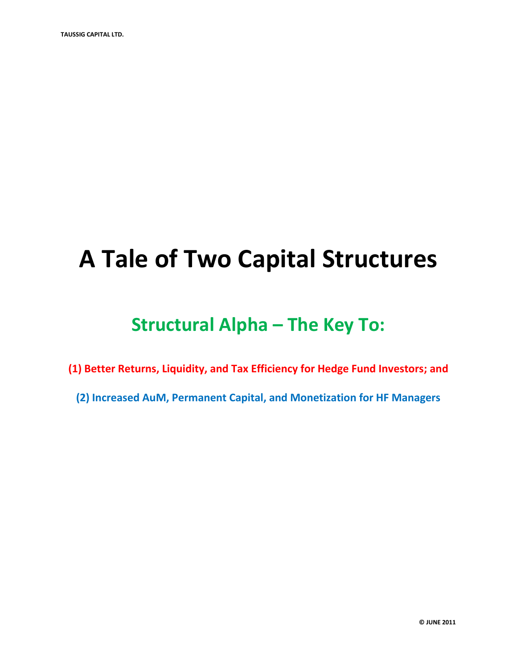# **A Tale of Two Capital Structures**

## **Structural Alpha – The Key To:**

**(1) Better Returns, Liquidity, and Tax Efficiency for Hedge Fund Investors; and**

**(2) Increased AuM, Permanent Capital, and Monetization for HF Managers**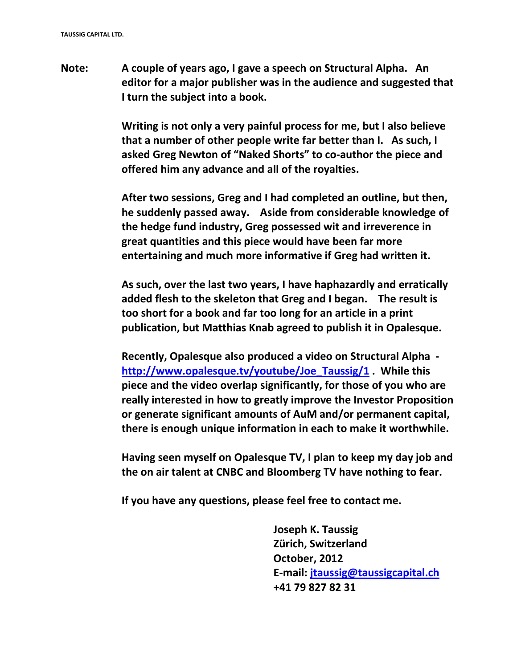**Note: A couple of years ago, I gave a speech on Structural Alpha. An editor for a major publisher was in the audience and suggested that I turn the subject into a book.** 

> **Writing is not only a very painful process for me, but I also believe that a number of other people write far better than I. As such, I asked Greg Newton of "Naked Shorts" to co-author the piece and offered him any advance and all of the royalties.**

**After two sessions, Greg and I had completed an outline, but then, he suddenly passed away. Aside from considerable knowledge of the hedge fund industry, Greg possessed wit and irreverence in great quantities and this piece would have been far more entertaining and much more informative if Greg had written it.**

**As such, over the last two years, I have haphazardly and erratically added flesh to the skeleton that Greg and I began. The result is too short for a book and far too long for an article in a print publication, but Matthias Knab agreed to publish it in Opalesque.**

**Recently, Opalesque also produced a video on Structural Alpha [http://www.opalesque.tv/youtube/Joe\\_Taussig/1](http://www.opalesque.tv/youtube/Joe_Taussig/1) . While this piece and the video overlap significantly, for those of you who are really interested in how to greatly improve the Investor Proposition or generate significant amounts of AuM and/or permanent capital, there is enough unique information in each to make it worthwhile.**

**Having seen myself on Opalesque TV, I plan to keep my day job and the on air talent at CNBC and Bloomberg TV have nothing to fear.** 

**If you have any questions, please feel free to contact me.**

**Joseph K. Taussig Zürich, Switzerland October, 2012 E-mail: [jtaussig@taussigcapital.ch](mailto:jtaussig@taussigcapital.ch) +41 79 827 82 31**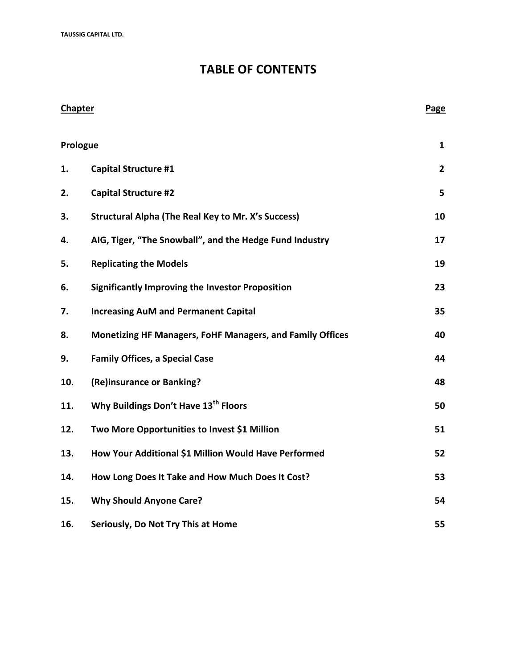## **TABLE OF CONTENTS**

| <b>Chapter</b> |                                                                  | Page         |
|----------------|------------------------------------------------------------------|--------------|
| Prologue       |                                                                  | $\mathbf{1}$ |
| 1.             | <b>Capital Structure #1</b>                                      | $\mathbf{2}$ |
| 2.             | <b>Capital Structure #2</b>                                      | 5            |
| 3.             | <b>Structural Alpha (The Real Key to Mr. X's Success)</b>        | 10           |
| 4.             | AIG, Tiger, "The Snowball", and the Hedge Fund Industry          | 17           |
| 5.             | <b>Replicating the Models</b>                                    | 19           |
| 6.             | <b>Significantly Improving the Investor Proposition</b>          | 23           |
| 7.             | <b>Increasing AuM and Permanent Capital</b>                      | 35           |
| 8.             | <b>Monetizing HF Managers, FoHF Managers, and Family Offices</b> | 40           |
| 9.             | <b>Family Offices, a Special Case</b>                            | 44           |
| 10.            | (Re)insurance or Banking?                                        | 48           |
| 11.            | Why Buildings Don't Have 13 <sup>th</sup> Floors                 | 50           |
| 12.            | Two More Opportunities to Invest \$1 Million                     | 51           |
| 13.            | How Your Additional \$1 Million Would Have Performed             | 52           |
| 14.            | How Long Does It Take and How Much Does It Cost?                 | 53           |
| 15.            | <b>Why Should Anyone Care?</b>                                   | 54           |
| 16.            | Seriously, Do Not Try This at Home                               | 55           |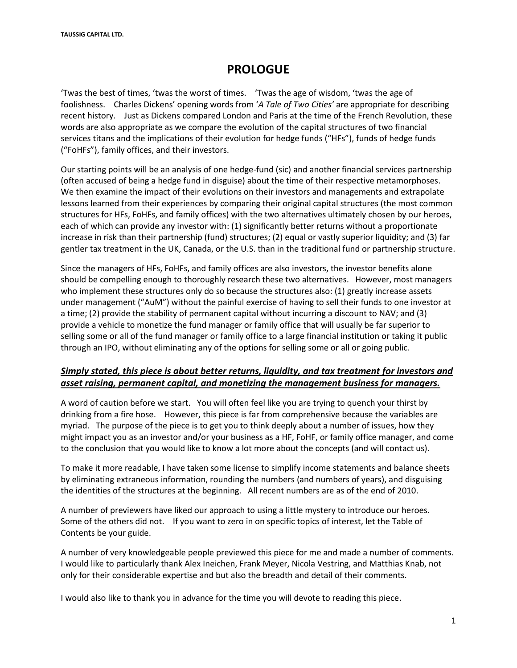## **PROLOGUE**

'Twas the best of times, 'twas the worst of times. 'Twas the age of wisdom, 'twas the age of foolishness. Charles Dickens' opening words from '*A Tale of Two Cities'* are appropriate for describing recent history. Just as Dickens compared London and Paris at the time of the French Revolution, these words are also appropriate as we compare the evolution of the capital structures of two financial services titans and the implications of their evolution for hedge funds ("HFs"), funds of hedge funds ("FoHFs"), family offices, and their investors.

Our starting points will be an analysis of one hedge-fund (sic) and another financial services partnership (often accused of being a hedge fund in disguise) about the time of their respective metamorphoses. We then examine the impact of their evolutions on their investors and managements and extrapolate lessons learned from their experiences by comparing their original capital structures (the most common structures for HFs, FoHFs, and family offices) with the two alternatives ultimately chosen by our heroes, each of which can provide any investor with: (1) significantly better returns without a proportionate increase in risk than their partnership (fund) structures; (2) equal or vastly superior liquidity; and (3) far gentler tax treatment in the UK, Canada, or the U.S. than in the traditional fund or partnership structure.

Since the managers of HFs, FoHFs, and family offices are also investors, the investor benefits alone should be compelling enough to thoroughly research these two alternatives. However, most managers who implement these structures only do so because the structures also: (1) greatly increase assets under management ("AuM") without the painful exercise of having to sell their funds to one investor at a time; (2) provide the stability of permanent capital without incurring a discount to NAV; and (3) provide a vehicle to monetize the fund manager or family office that will usually be far superior to selling some or all of the fund manager or family office to a large financial institution or taking it public through an IPO, without eliminating any of the options for selling some or all or going public.

#### *Simply stated, this piece is about better returns, liquidity, and tax treatment for investors and asset raising, permanent capital, and monetizing the management business for managers.*

A word of caution before we start. You will often feel like you are trying to quench your thirst by drinking from a fire hose. However, this piece is far from comprehensive because the variables are myriad. The purpose of the piece is to get you to think deeply about a number of issues, how they might impact you as an investor and/or your business as a HF, FoHF, or family office manager, and come to the conclusion that you would like to know a lot more about the concepts (and will contact us).

To make it more readable, I have taken some license to simplify income statements and balance sheets by eliminating extraneous information, rounding the numbers (and numbers of years), and disguising the identities of the structures at the beginning. All recent numbers are as of the end of 2010.

A number of previewers have liked our approach to using a little mystery to introduce our heroes. Some of the others did not. If you want to zero in on specific topics of interest, let the Table of Contents be your guide.

A number of very knowledgeable people previewed this piece for me and made a number of comments. I would like to particularly thank Alex Ineichen, Frank Meyer, Nicola Vestring, and Matthias Knab, not only for their considerable expertise and but also the breadth and detail of their comments.

I would also like to thank you in advance for the time you will devote to reading this piece.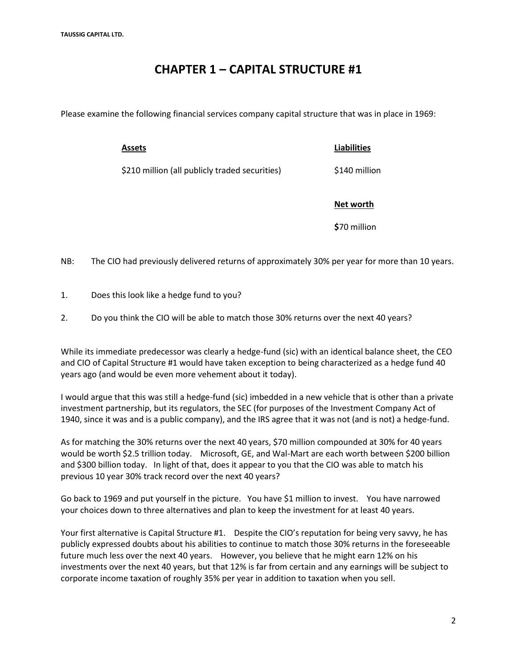## **CHAPTER 1 – CAPITAL STRUCTURE #1**

Please examine the following financial services company capital structure that was in place in 1969:

| <b>Assets</b>                                  | <b>Liabilities</b> |
|------------------------------------------------|--------------------|
| \$210 million (all publicly traded securities) | \$140 million      |
|                                                |                    |
|                                                |                    |
|                                                | Net worth          |

NB: The CIO had previously delivered returns of approximately 30% per year for more than 10 years.

- 1. Does this look like a hedge fund to you?
- 2. Do you think the CIO will be able to match those 30% returns over the next 40 years?

While its immediate predecessor was clearly a hedge-fund (sic) with an identical balance sheet, the CEO and CIO of Capital Structure #1 would have taken exception to being characterized as a hedge fund 40 years ago (and would be even more vehement about it today).

I would argue that this was still a hedge-fund (sic) imbedded in a new vehicle that is other than a private investment partnership, but its regulators, the SEC (for purposes of the Investment Company Act of 1940, since it was and is a public company), and the IRS agree that it was not (and is not) a hedge-fund.

As for matching the 30% returns over the next 40 years, \$70 million compounded at 30% for 40 years would be worth \$2.5 trillion today. Microsoft, GE, and Wal-Mart are each worth between \$200 billion and \$300 billion today. In light of that, does it appear to you that the CIO was able to match his previous 10 year 30% track record over the next 40 years?

Go back to 1969 and put yourself in the picture. You have \$1 million to invest. You have narrowed your choices down to three alternatives and plan to keep the investment for at least 40 years.

Your first alternative is Capital Structure #1. Despite the CIO's reputation for being very savvy, he has publicly expressed doubts about his abilities to continue to match those 30% returns in the foreseeable future much less over the next 40 years. However, you believe that he might earn 12% on his investments over the next 40 years, but that 12% is far from certain and any earnings will be subject to corporate income taxation of roughly 35% per year in addition to taxation when you sell.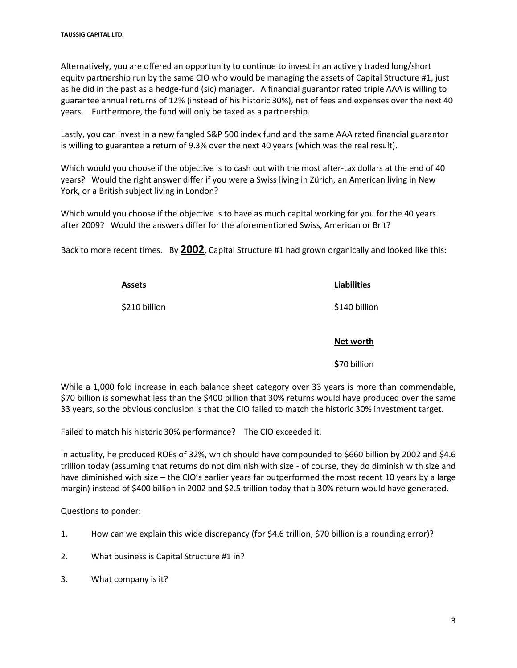Alternatively, you are offered an opportunity to continue to invest in an actively traded long/short equity partnership run by the same CIO who would be managing the assets of Capital Structure #1, just as he did in the past as a hedge-fund (sic) manager. A financial guarantor rated triple AAA is willing to guarantee annual returns of 12% (instead of his historic 30%), net of fees and expenses over the next 40 years. Furthermore, the fund will only be taxed as a partnership.

Lastly, you can invest in a new fangled S&P 500 index fund and the same AAA rated financial guarantor is willing to guarantee a return of 9.3% over the next 40 years (which was the real result).

Which would you choose if the objective is to cash out with the most after-tax dollars at the end of 40 years? Would the right answer differ if you were a Swiss living in Zürich, an American living in New York, or a British subject living in London?

Which would you choose if the objective is to have as much capital working for you for the 40 years after 2009? Would the answers differ for the aforementioned Swiss, American or Brit?

Back to more recent times. By **2002**, Capital Structure #1 had grown organically and looked like this:

| <b>Assets</b> | <b>Liabilities</b> |
|---------------|--------------------|
| \$210 billion | \$140 billion      |
|               | Net worth          |

**\$**70 billion

While a 1,000 fold increase in each balance sheet category over 33 years is more than commendable, \$70 billion is somewhat less than the \$400 billion that 30% returns would have produced over the same 33 years, so the obvious conclusion is that the CIO failed to match the historic 30% investment target.

Failed to match his historic 30% performance? The CIO exceeded it.

In actuality, he produced ROEs of 32%, which should have compounded to \$660 billion by 2002 and \$4.6 trillion today (assuming that returns do not diminish with size - of course, they do diminish with size and have diminished with size – the CIO's earlier years far outperformed the most recent 10 years by a large margin) instead of \$400 billion in 2002 and \$2.5 trillion today that a 30% return would have generated.

Questions to ponder:

- 1. How can we explain this wide discrepancy (for \$4.6 trillion, \$70 billion is a rounding error)?
- 2. What business is Capital Structure #1 in?
- 3. What company is it?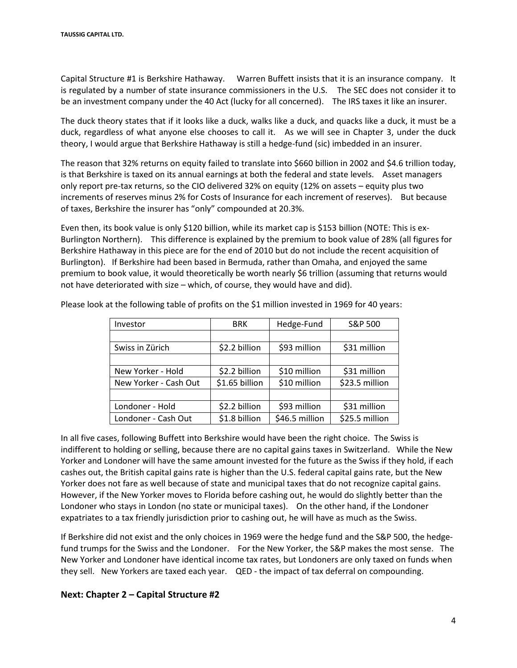Capital Structure #1 is Berkshire Hathaway. Warren Buffett insists that it is an insurance company. It is regulated by a number of state insurance commissioners in the U.S. The SEC does not consider it to be an investment company under the 40 Act (lucky for all concerned). The IRS taxes it like an insurer.

The duck theory states that if it looks like a duck, walks like a duck, and quacks like a duck, it must be a duck, regardless of what anyone else chooses to call it. As we will see in Chapter 3, under the duck theory, I would argue that Berkshire Hathaway is still a hedge-fund (sic) imbedded in an insurer.

The reason that 32% returns on equity failed to translate into \$660 billion in 2002 and \$4.6 trillion today, is that Berkshire is taxed on its annual earnings at both the federal and state levels. Asset managers only report pre-tax returns, so the CIO delivered 32% on equity (12% on assets – equity plus two increments of reserves minus 2% for Costs of Insurance for each increment of reserves). But because of taxes, Berkshire the insurer has "only" compounded at 20.3%.

Even then, its book value is only \$120 billion, while its market cap is \$153 billion (NOTE: This is ex-Burlington Northern). This difference is explained by the premium to book value of 28% (all figures for Berkshire Hathaway in this piece are for the end of 2010 but do not include the recent acquisition of Burlington). If Berkshire had been based in Bermuda, rather than Omaha, and enjoyed the same premium to book value, it would theoretically be worth nearly \$6 trillion (assuming that returns would not have deteriorated with size – which, of course, they would have and did).

| Investor              | <b>BRK</b>     | Hedge-Fund     | S&P 500        |
|-----------------------|----------------|----------------|----------------|
|                       |                |                |                |
| Swiss in Zürich       | \$2.2 billion  | \$93 million   | \$31 million   |
|                       |                |                |                |
| New Yorker - Hold     | \$2.2 billion  | \$10 million   | \$31 million   |
| New Yorker - Cash Out | \$1.65 billion | \$10 million   | \$23.5 million |
|                       |                |                |                |
| Londoner - Hold       | \$2.2 billion  | \$93 million   | \$31 million   |
| Londoner - Cash Out   | \$1.8 billion  | \$46.5 million | \$25.5 million |

Please look at the following table of profits on the \$1 million invested in 1969 for 40 years:

In all five cases, following Buffett into Berkshire would have been the right choice. The Swiss is indifferent to holding or selling, because there are no capital gains taxes in Switzerland. While the New Yorker and Londoner will have the same amount invested for the future as the Swiss if they hold, if each cashes out, the British capital gains rate is higher than the U.S. federal capital gains rate, but the New Yorker does not fare as well because of state and municipal taxes that do not recognize capital gains. However, if the New Yorker moves to Florida before cashing out, he would do slightly better than the Londoner who stays in London (no state or municipal taxes). On the other hand, if the Londoner expatriates to a tax friendly jurisdiction prior to cashing out, he will have as much as the Swiss.

If Berkshire did not exist and the only choices in 1969 were the hedge fund and the S&P 500, the hedgefund trumps for the Swiss and the Londoner. For the New Yorker, the S&P makes the most sense. The New Yorker and Londoner have identical income tax rates, but Londoners are only taxed on funds when they sell. New Yorkers are taxed each year. QED - the impact of tax deferral on compounding.

#### **Next: Chapter 2 – Capital Structure #2**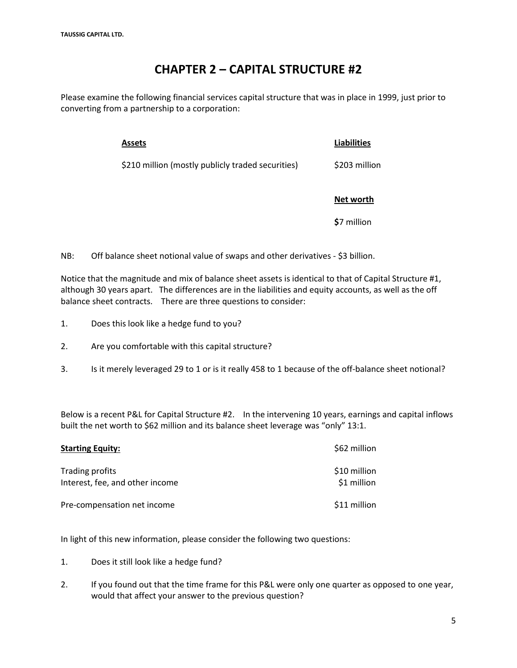## **CHAPTER 2 – CAPITAL STRUCTURE #2**

Please examine the following financial services capital structure that was in place in 1999, just prior to converting from a partnership to a corporation:

| <b>Assets</b>                                     | <b>Liabilities</b> |
|---------------------------------------------------|--------------------|
| \$210 million (mostly publicly traded securities) | \$203 million      |
|                                                   | Net worth          |
|                                                   | \$7 million        |

NB: Off balance sheet notional value of swaps and other derivatives - \$3 billion.

Notice that the magnitude and mix of balance sheet assets is identical to that of Capital Structure #1, although 30 years apart. The differences are in the liabilities and equity accounts, as well as the off balance sheet contracts. There are three questions to consider:

- 1. Does this look like a hedge fund to you?
- 2. Are you comfortable with this capital structure?
- 3. Is it merely leveraged 29 to 1 or is it really 458 to 1 because of the off-balance sheet notional?

Below is a recent P&L for Capital Structure #2. In the intervening 10 years, earnings and capital inflows built the net worth to \$62 million and its balance sheet leverage was "only" 13:1.

| <b>Starting Equity:</b>                            | \$62 million                |  |
|----------------------------------------------------|-----------------------------|--|
| Trading profits<br>Interest, fee, and other income | \$10 million<br>\$1 million |  |
| Pre-compensation net income                        | \$11 million                |  |

In light of this new information, please consider the following two questions:

- 1. Does it still look like a hedge fund?
- 2. If you found out that the time frame for this P&L were only one quarter as opposed to one year, would that affect your answer to the previous question?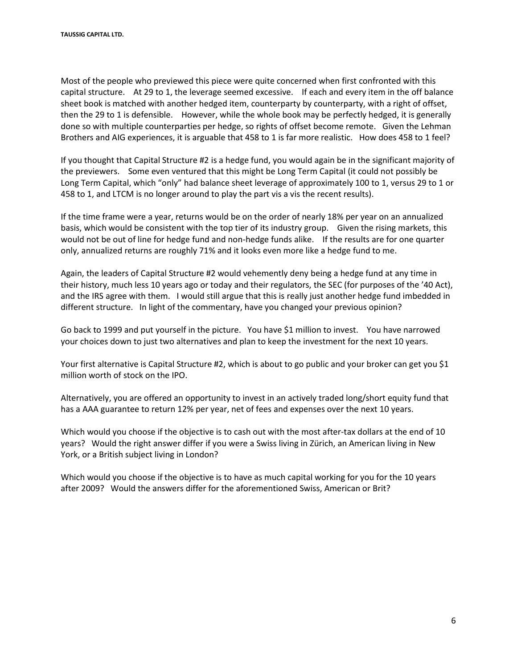Most of the people who previewed this piece were quite concerned when first confronted with this capital structure. At 29 to 1, the leverage seemed excessive. If each and every item in the off balance sheet book is matched with another hedged item, counterparty by counterparty, with a right of offset, then the 29 to 1 is defensible. However, while the whole book may be perfectly hedged, it is generally done so with multiple counterparties per hedge, so rights of offset become remote. Given the Lehman Brothers and AIG experiences, it is arguable that 458 to 1 is far more realistic. How does 458 to 1 feel?

If you thought that Capital Structure #2 is a hedge fund, you would again be in the significant majority of the previewers. Some even ventured that this might be Long Term Capital (it could not possibly be Long Term Capital, which "only" had balance sheet leverage of approximately 100 to 1, versus 29 to 1 or 458 to 1, and LTCM is no longer around to play the part vis a vis the recent results).

If the time frame were a year, returns would be on the order of nearly 18% per year on an annualized basis, which would be consistent with the top tier of its industry group. Given the rising markets, this would not be out of line for hedge fund and non-hedge funds alike. If the results are for one quarter only, annualized returns are roughly 71% and it looks even more like a hedge fund to me.

Again, the leaders of Capital Structure #2 would vehemently deny being a hedge fund at any time in their history, much less 10 years ago or today and their regulators, the SEC (for purposes of the '40 Act), and the IRS agree with them. I would still argue that this is really just another hedge fund imbedded in different structure. In light of the commentary, have you changed your previous opinion?

Go back to 1999 and put yourself in the picture. You have \$1 million to invest. You have narrowed your choices down to just two alternatives and plan to keep the investment for the next 10 years.

Your first alternative is Capital Structure #2, which is about to go public and your broker can get you \$1 million worth of stock on the IPO.

Alternatively, you are offered an opportunity to invest in an actively traded long/short equity fund that has a AAA guarantee to return 12% per year, net of fees and expenses over the next 10 years.

Which would you choose if the objective is to cash out with the most after-tax dollars at the end of 10 years? Would the right answer differ if you were a Swiss living in Zürich, an American living in New York, or a British subject living in London?

Which would you choose if the objective is to have as much capital working for you for the 10 years after 2009? Would the answers differ for the aforementioned Swiss, American or Brit?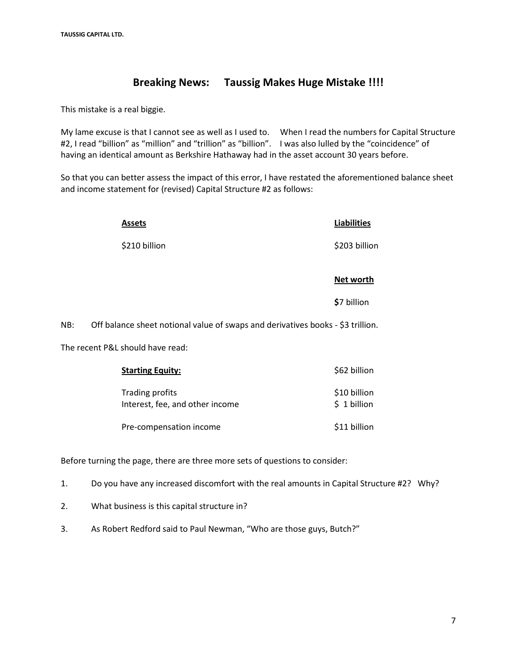#### **Breaking News: Taussig Makes Huge Mistake !!!!**

This mistake is a real biggie.

My lame excuse is that I cannot see as well as I used to. When I read the numbers for Capital Structure #2, I read "billion" as "million" and "trillion" as "billion". I was also lulled by the "coincidence" of having an identical amount as Berkshire Hathaway had in the asset account 30 years before.

So that you can better assess the impact of this error, I have restated the aforementioned balance sheet and income statement for (revised) Capital Structure #2 as follows:

|     | <b>Assets</b>                                                                   | <b>Liabilities</b> |
|-----|---------------------------------------------------------------------------------|--------------------|
|     | \$210 billion                                                                   | \$203 billion      |
|     |                                                                                 | <b>Net worth</b>   |
|     |                                                                                 | \$7 billion        |
| NB: | Off balance sheet notional value of swaps and derivatives books - \$3 trillion. |                    |

The recent P&L should have read:

| <b>Starting Equity:</b>                            | \$62 billion                 |
|----------------------------------------------------|------------------------------|
| Trading profits<br>Interest, fee, and other income | \$10 billion<br>\$ 1 billion |
| Pre-compensation income                            | \$11 billion                 |

Before turning the page, there are three more sets of questions to consider:

- 1. Do you have any increased discomfort with the real amounts in Capital Structure #2? Why?
- 2. What business is this capital structure in?
- 3. As Robert Redford said to Paul Newman, "Who are those guys, Butch?"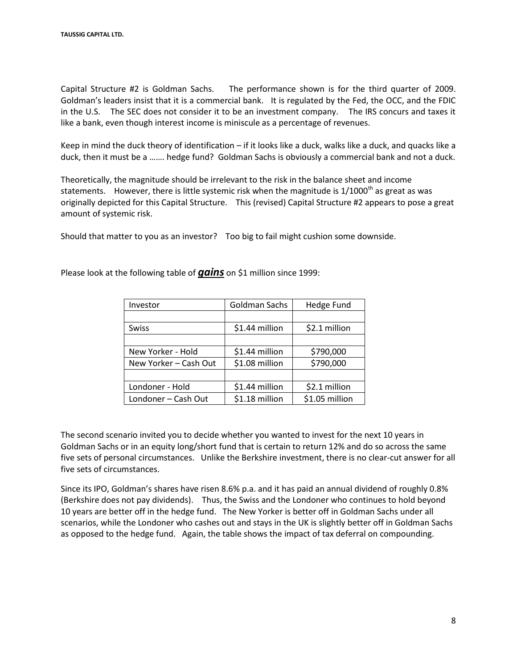Capital Structure #2 is Goldman Sachs. The performance shown is for the third quarter of 2009. Goldman's leaders insist that it is a commercial bank. It is regulated by the Fed, the OCC, and the FDIC in the U.S. The SEC does not consider it to be an investment company. The IRS concurs and taxes it like a bank, even though interest income is miniscule as a percentage of revenues.

Keep in mind the duck theory of identification – if it looks like a duck, walks like a duck, and quacks like a duck, then it must be a ……. hedge fund? Goldman Sachs is obviously a commercial bank and not a duck.

Theoretically, the magnitude should be irrelevant to the risk in the balance sheet and income statements. However, there is little systemic risk when the magnitude is  $1/1000<sup>th</sup>$  as great as was originally depicted for this Capital Structure. This (revised) Capital Structure #2 appears to pose a great amount of systemic risk.

Should that matter to you as an investor? Too big to fail might cushion some downside.

| Investor              | Goldman Sachs  | Hedge Fund     |
|-----------------------|----------------|----------------|
|                       |                |                |
| <b>Swiss</b>          | \$1.44 million | \$2.1 million  |
|                       |                |                |
| New Yorker - Hold     | \$1.44 million | \$790,000      |
| New Yorker - Cash Out | \$1.08 million | \$790,000      |
|                       |                |                |
| Londoner - Hold       | \$1.44 million | \$2.1 million  |
| Londoner - Cash Out   | \$1.18 million | \$1.05 million |

Please look at the following table of *gains* on \$1 million since 1999:

The second scenario invited you to decide whether you wanted to invest for the next 10 years in Goldman Sachs or in an equity long/short fund that is certain to return 12% and do so across the same five sets of personal circumstances. Unlike the Berkshire investment, there is no clear-cut answer for all five sets of circumstances.

Since its IPO, Goldman's shares have risen 8.6% p.a. and it has paid an annual dividend of roughly 0.8% (Berkshire does not pay dividends). Thus, the Swiss and the Londoner who continues to hold beyond 10 years are better off in the hedge fund. The New Yorker is better off in Goldman Sachs under all scenarios, while the Londoner who cashes out and stays in the UK is slightly better off in Goldman Sachs as opposed to the hedge fund. Again, the table shows the impact of tax deferral on compounding.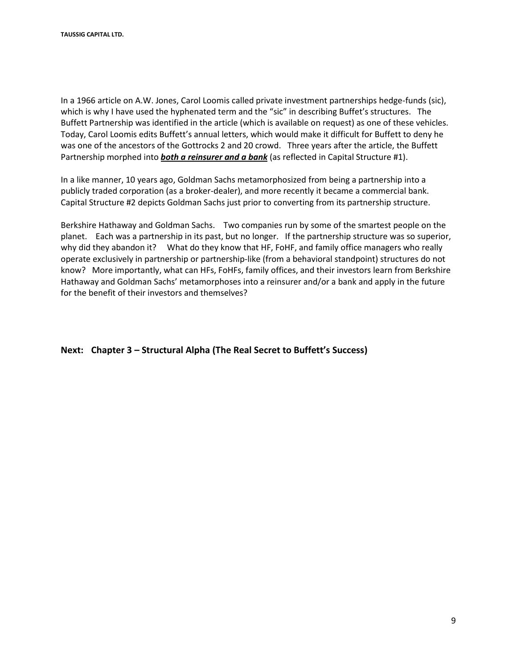In a 1966 article on A.W. Jones, Carol Loomis called private investment partnerships hedge-funds (sic), which is why I have used the hyphenated term and the "sic" in describing Buffet's structures. The Buffett Partnership was identified in the article (which is available on request) as one of these vehicles. Today, Carol Loomis edits Buffett's annual letters, which would make it difficult for Buffett to deny he was one of the ancestors of the Gottrocks 2 and 20 crowd. Three years after the article, the Buffett Partnership morphed into **both a reinsurer and a bank** (as reflected in Capital Structure #1).

In a like manner, 10 years ago, Goldman Sachs metamorphosized from being a partnership into a publicly traded corporation (as a broker-dealer), and more recently it became a commercial bank. Capital Structure #2 depicts Goldman Sachs just prior to converting from its partnership structure.

Berkshire Hathaway and Goldman Sachs. Two companies run by some of the smartest people on the planet. Each was a partnership in its past, but no longer. If the partnership structure was so superior, why did they abandon it? What do they know that HF, FoHF, and family office managers who really operate exclusively in partnership or partnership-like (from a behavioral standpoint) structures do not know? More importantly, what can HFs, FoHFs, family offices, and their investors learn from Berkshire Hathaway and Goldman Sachs' metamorphoses into a reinsurer and/or a bank and apply in the future for the benefit of their investors and themselves?

**Next: Chapter 3 – Structural Alpha (The Real Secret to Buffett's Success)**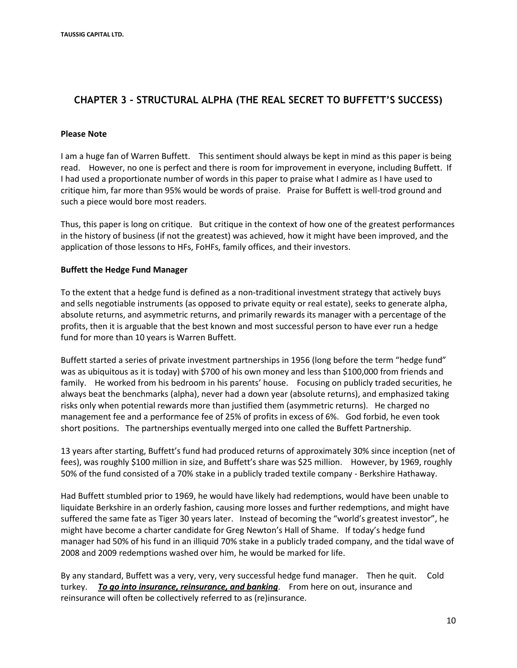## **CHAPTER 3 - STRUCTURAL ALPHA (THE REAL SECRET TO BUFFETT'S SUCCESS)**

#### **Please Note**

I am a huge fan of Warren Buffett. This sentiment should always be kept in mind as this paper is being read. However, no one is perfect and there is room for improvement in everyone, including Buffett. If I had used a proportionate number of words in this paper to praise what I admire as I have used to critique him, far more than 95% would be words of praise. Praise for Buffett is well-trod ground and such a piece would bore most readers.

Thus, this paper is long on critique. But critique in the context of how one of the greatest performances in the history of business (if not the greatest) was achieved, how it might have been improved, and the application of those lessons to HFs, FoHFs, family offices, and their investors.

#### **Buffett the Hedge Fund Manager**

To the extent that a hedge fund is defined as a non-traditional investment strategy that actively buys and sells negotiable instruments (as opposed to private equity or real estate), seeks to generate alpha, absolute returns, and asymmetric returns, and primarily rewards its manager with a percentage of the profits, then it is arguable that the best known and most successful person to have ever run a hedge fund for more than 10 years is Warren Buffett.

Buffett started a series of private investment partnerships in 1956 (long before the term "hedge fund" was as ubiquitous as it is today) with \$700 of his own money and less than \$100,000 from friends and family. He worked from his bedroom in his parents' house. Focusing on publicly traded securities, he always beat the benchmarks (alpha), never had a down year (absolute returns), and emphasized taking risks only when potential rewards more than justified them (asymmetric returns). He charged no management fee and a performance fee of 25% of profits in excess of 6%. God forbid, he even took short positions. The partnerships eventually merged into one called the Buffett Partnership.

13 years after starting, Buffett's fund had produced returns of approximately 30% since inception (net of fees), was roughly \$100 million in size, and Buffett's share was \$25 million. However, by 1969, roughly 50% of the fund consisted of a 70% stake in a publicly traded textile company - Berkshire Hathaway.

Had Buffett stumbled prior to 1969, he would have likely had redemptions, would have been unable to liquidate Berkshire in an orderly fashion, causing more losses and further redemptions, and might have suffered the same fate as Tiger 30 years later. Instead of becoming the "world's greatest investor", he might have become a charter candidate for Greg Newton's Hall of Shame. If today's hedge fund manager had 50% of his fund in an illiquid 70% stake in a publicly traded company, and the tidal wave of 2008 and 2009 redemptions washed over him, he would be marked for life.

By any standard, Buffett was a very, very, very successful hedge fund manager. Then he quit. Cold turkey. *To go into insurance, reinsurance, and banking*. From here on out, insurance and reinsurance will often be collectively referred to as (re)insurance.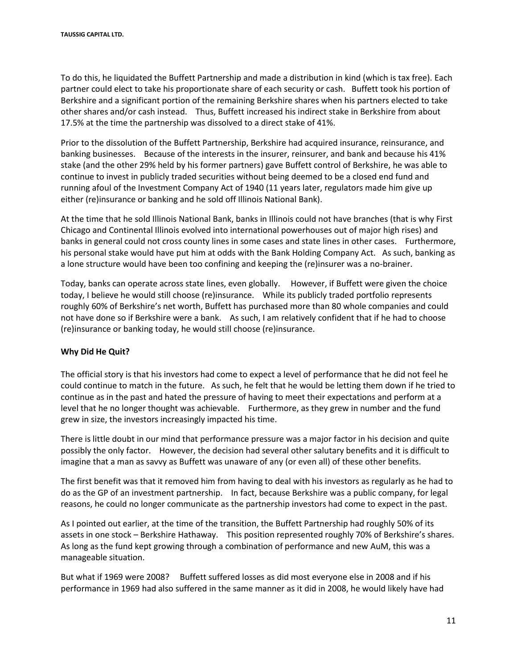To do this, he liquidated the Buffett Partnership and made a distribution in kind (which is tax free). Each partner could elect to take his proportionate share of each security or cash. Buffett took his portion of Berkshire and a significant portion of the remaining Berkshire shares when his partners elected to take other shares and/or cash instead. Thus, Buffett increased his indirect stake in Berkshire from about 17.5% at the time the partnership was dissolved to a direct stake of 41%.

Prior to the dissolution of the Buffett Partnership, Berkshire had acquired insurance, reinsurance, and banking businesses. Because of the interests in the insurer, reinsurer, and bank and because his 41% stake (and the other 29% held by his former partners) gave Buffett control of Berkshire, he was able to continue to invest in publicly traded securities without being deemed to be a closed end fund and running afoul of the Investment Company Act of 1940 (11 years later, regulators made him give up either (re)insurance or banking and he sold off Illinois National Bank).

At the time that he sold Illinois National Bank, banks in Illinois could not have branches (that is why First Chicago and Continental Illinois evolved into international powerhouses out of major high rises) and banks in general could not cross county lines in some cases and state lines in other cases. Furthermore, his personal stake would have put him at odds with the Bank Holding Company Act. As such, banking as a lone structure would have been too confining and keeping the (re)insurer was a no-brainer.

Today, banks can operate across state lines, even globally. However, if Buffett were given the choice today, I believe he would still choose (re)insurance. While its publicly traded portfolio represents roughly 60% of Berkshire's net worth, Buffett has purchased more than 80 whole companies and could not have done so if Berkshire were a bank. As such, I am relatively confident that if he had to choose (re)insurance or banking today, he would still choose (re)insurance.

#### **Why Did He Quit?**

The official story is that his investors had come to expect a level of performance that he did not feel he could continue to match in the future. As such, he felt that he would be letting them down if he tried to continue as in the past and hated the pressure of having to meet their expectations and perform at a level that he no longer thought was achievable. Furthermore, as they grew in number and the fund grew in size, the investors increasingly impacted his time.

There is little doubt in our mind that performance pressure was a major factor in his decision and quite possibly the only factor. However, the decision had several other salutary benefits and it is difficult to imagine that a man as savvy as Buffett was unaware of any (or even all) of these other benefits.

The first benefit was that it removed him from having to deal with his investors as regularly as he had to do as the GP of an investment partnership. In fact, because Berkshire was a public company, for legal reasons, he could no longer communicate as the partnership investors had come to expect in the past.

As I pointed out earlier, at the time of the transition, the Buffett Partnership had roughly 50% of its assets in one stock – Berkshire Hathaway. This position represented roughly 70% of Berkshire's shares. As long as the fund kept growing through a combination of performance and new AuM, this was a manageable situation.

But what if 1969 were 2008? Buffett suffered losses as did most everyone else in 2008 and if his performance in 1969 had also suffered in the same manner as it did in 2008, he would likely have had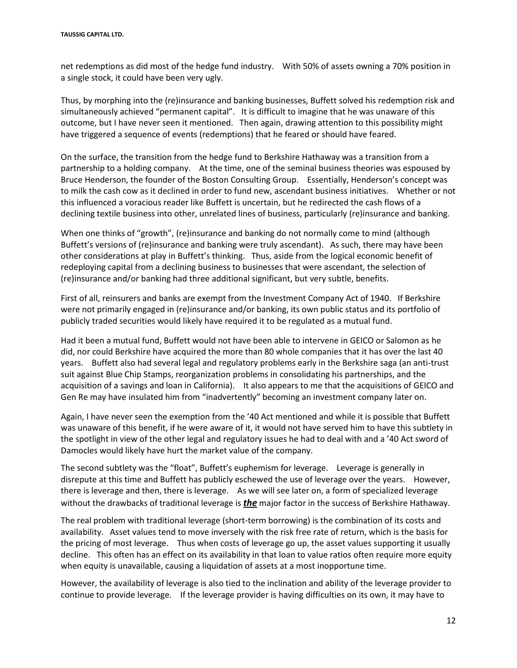net redemptions as did most of the hedge fund industry. With 50% of assets owning a 70% position in a single stock, it could have been very ugly.

Thus, by morphing into the (re)insurance and banking businesses, Buffett solved his redemption risk and simultaneously achieved "permanent capital". It is difficult to imagine that he was unaware of this outcome, but I have never seen it mentioned. Then again, drawing attention to this possibility might have triggered a sequence of events (redemptions) that he feared or should have feared.

On the surface, the transition from the hedge fund to Berkshire Hathaway was a transition from a partnership to a holding company. At the time, one of the seminal business theories was espoused by Bruce Henderson, the founder of the Boston Consulting Group. Essentially, Henderson's concept was to milk the cash cow as it declined in order to fund new, ascendant business initiatives. Whether or not this influenced a voracious reader like Buffett is uncertain, but he redirected the cash flows of a declining textile business into other, unrelated lines of business, particularly (re)insurance and banking.

When one thinks of "growth", (re)insurance and banking do not normally come to mind (although Buffett's versions of (re)insurance and banking were truly ascendant). As such, there may have been other considerations at play in Buffett's thinking. Thus, aside from the logical economic benefit of redeploying capital from a declining business to businesses that were ascendant, the selection of (re)insurance and/or banking had three additional significant, but very subtle, benefits.

First of all, reinsurers and banks are exempt from the Investment Company Act of 1940. If Berkshire were not primarily engaged in (re)insurance and/or banking, its own public status and its portfolio of publicly traded securities would likely have required it to be regulated as a mutual fund.

Had it been a mutual fund, Buffett would not have been able to intervene in GEICO or Salomon as he did, nor could Berkshire have acquired the more than 80 whole companies that it has over the last 40 years. Buffett also had several legal and regulatory problems early in the Berkshire saga (an anti-trust suit against Blue Chip Stamps, reorganization problems in consolidating his partnerships, and the acquisition of a savings and loan in California). It also appears to me that the acquisitions of GEICO and Gen Re may have insulated him from "inadvertently" becoming an investment company later on.

Again, I have never seen the exemption from the '40 Act mentioned and while it is possible that Buffett was unaware of this benefit, if he were aware of it, it would not have served him to have this subtlety in the spotlight in view of the other legal and regulatory issues he had to deal with and a '40 Act sword of Damocles would likely have hurt the market value of the company.

The second subtlety was the "float", Buffett's euphemism for leverage. Leverage is generally in disrepute at this time and Buffett has publicly eschewed the use of leverage over the years. However, there is leverage and then, there is leverage. As we will see later on, a form of specialized leverage without the drawbacks of traditional leverage is *the* major factor in the success of Berkshire Hathaway.

The real problem with traditional leverage (short-term borrowing) is the combination of its costs and availability. Asset values tend to move inversely with the risk free rate of return, which is the basis for the pricing of most leverage. Thus when costs of leverage go up, the asset values supporting it usually decline. This often has an effect on its availability in that loan to value ratios often require more equity when equity is unavailable, causing a liquidation of assets at a most inopportune time.

However, the availability of leverage is also tied to the inclination and ability of the leverage provider to continue to provide leverage. If the leverage provider is having difficulties on its own, it may have to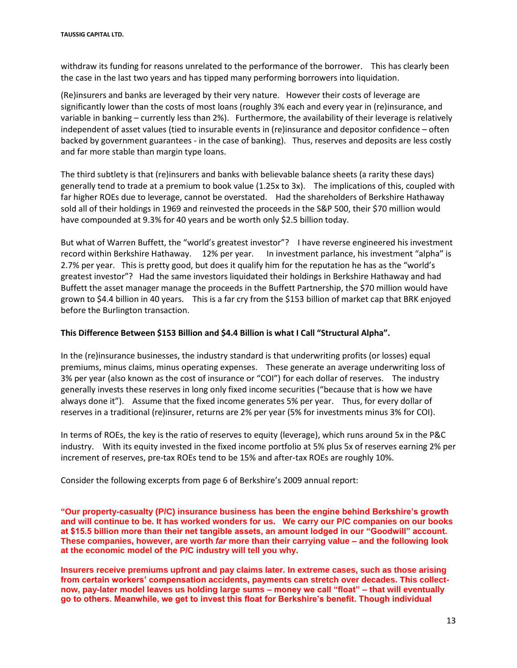withdraw its funding for reasons unrelated to the performance of the borrower. This has clearly been the case in the last two years and has tipped many performing borrowers into liquidation.

(Re)insurers and banks are leveraged by their very nature. However their costs of leverage are significantly lower than the costs of most loans (roughly 3% each and every year in (re)insurance, and variable in banking – currently less than 2%). Furthermore, the availability of their leverage is relatively independent of asset values (tied to insurable events in (re)insurance and depositor confidence – often backed by government guarantees - in the case of banking). Thus, reserves and deposits are less costly and far more stable than margin type loans.

The third subtlety is that (re)insurers and banks with believable balance sheets (a rarity these days) generally tend to trade at a premium to book value (1.25x to 3x). The implications of this, coupled with far higher ROEs due to leverage, cannot be overstated. Had the shareholders of Berkshire Hathaway sold all of their holdings in 1969 and reinvested the proceeds in the S&P 500, their \$70 million would have compounded at 9.3% for 40 years and be worth only \$2.5 billion today.

But what of Warren Buffett, the "world's greatest investor"? I have reverse engineered his investment record within Berkshire Hathaway. 12% per year. In investment parlance, his investment "alpha" is 2.7% per year. This is pretty good, but does it qualify him for the reputation he has as the "world's greatest investor"? Had the same investors liquidated their holdings in Berkshire Hathaway and had Buffett the asset manager manage the proceeds in the Buffett Partnership, the \$70 million would have grown to \$4.4 billion in 40 years. This is a far cry from the \$153 billion of market cap that BRK enjoyed before the Burlington transaction.

#### **This Difference Between \$153 Billion and \$4.4 Billion is what I Call "Structural Alpha".**

In the (re)insurance businesses, the industry standard is that underwriting profits (or losses) equal premiums, minus claims, minus operating expenses. These generate an average underwriting loss of 3% per year (also known as the cost of insurance or "COI") for each dollar of reserves. The industry generally invests these reserves in long only fixed income securities ("because that is how we have always done it"). Assume that the fixed income generates 5% per year. Thus, for every dollar of reserves in a traditional (re)insurer, returns are 2% per year (5% for investments minus 3% for COI).

In terms of ROEs, the key is the ratio of reserves to equity (leverage), which runs around 5x in the P&C industry. With its equity invested in the fixed income portfolio at 5% plus 5x of reserves earning 2% per increment of reserves, pre-tax ROEs tend to be 15% and after-tax ROEs are roughly 10%.

Consider the following excerpts from page 6 of Berkshire's 2009 annual report:

**"Our property-casualty (P/C) insurance business has been the engine behind Berkshire's growth and will continue to be. It has worked wonders for us. We carry our P/C companies on our books at \$15.5 billion more than their net tangible assets, an amount lodged in our "Goodwill" account. These companies, however, are worth** *far* **more than their carrying value – and the following look at the economic model of the P/C industry will tell you why.**

**Insurers receive premiums upfront and pay claims later. In extreme cases, such as those arising from certain workers' compensation accidents, payments can stretch over decades. This collectnow, pay-later model leaves us holding large sums – money we call "float" – that will eventually go to others. Meanwhile, we get to invest this float for Berkshire's benefit. Though individual**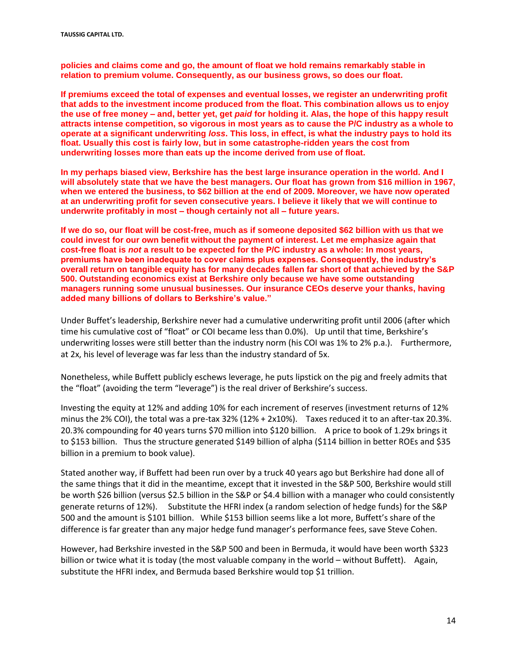**policies and claims come and go, the amount of float we hold remains remarkably stable in relation to premium volume. Consequently, as our business grows, so does our float.**

**If premiums exceed the total of expenses and eventual losses, we register an underwriting profit that adds to the investment income produced from the float. This combination allows us to enjoy the use of free money – and, better yet, get** *paid* **for holding it. Alas, the hope of this happy result attracts intense competition, so vigorous in most years as to cause the P/C industry as a whole to operate at a significant underwriting** *loss***. This loss, in effect, is what the industry pays to hold its float. Usually this cost is fairly low, but in some catastrophe-ridden years the cost from underwriting losses more than eats up the income derived from use of float.**

**In my perhaps biased view, Berkshire has the best large insurance operation in the world. And I will absolutely state that we have the best managers. Our float has grown from \$16 million in 1967, when we entered the business, to \$62 billion at the end of 2009. Moreover, we have now operated at an underwriting profit for seven consecutive years. I believe it likely that we will continue to underwrite profitably in most – though certainly not all – future years.** 

**If we do so, our float will be cost-free, much as if someone deposited \$62 billion with us that we could invest for our own benefit without the payment of interest. Let me emphasize again that cost-free float is** *not* **a result to be expected for the P/C industry as a whole: In most years, premiums have been inadequate to cover claims plus expenses. Consequently, the industry's overall return on tangible equity has for many decades fallen far short of that achieved by the S&P 500. Outstanding economics exist at Berkshire only because we have some outstanding managers running some unusual businesses. Our insurance CEOs deserve your thanks, having added many billions of dollars to Berkshire's value."**

Under Buffet's leadership, Berkshire never had a cumulative underwriting profit until 2006 (after which time his cumulative cost of "float" or COI became less than 0.0%). Up until that time, Berkshire's underwriting losses were still better than the industry norm (his COI was 1% to 2% p.a.). Furthermore, at 2x, his level of leverage was far less than the industry standard of 5x.

Nonetheless, while Buffett publicly eschews leverage, he puts lipstick on the pig and freely admits that the "float" (avoiding the term "leverage") is the real driver of Berkshire's success.

Investing the equity at 12% and adding 10% for each increment of reserves (investment returns of 12% minus the 2% COI), the total was a pre-tax 32% (12% + 2x10%). Taxes reduced it to an after-tax 20.3%. 20.3% compounding for 40 years turns \$70 million into \$120 billion. A price to book of 1.29x brings it to \$153 billion. Thus the structure generated \$149 billion of alpha (\$114 billion in better ROEs and \$35 billion in a premium to book value).

Stated another way, if Buffett had been run over by a truck 40 years ago but Berkshire had done all of the same things that it did in the meantime, except that it invested in the S&P 500, Berkshire would still be worth \$26 billion (versus \$2.5 billion in the S&P or \$4.4 billion with a manager who could consistently generate returns of 12%). Substitute the HFRI index (a random selection of hedge funds) for the S&P 500 and the amount is \$101 billion. While \$153 billion seems like a lot more, Buffett's share of the difference is far greater than any major hedge fund manager's performance fees, save Steve Cohen.

However, had Berkshire invested in the S&P 500 and been in Bermuda, it would have been worth \$323 billion or twice what it is today (the most valuable company in the world – without Buffett). Again, substitute the HFRI index, and Bermuda based Berkshire would top \$1 trillion.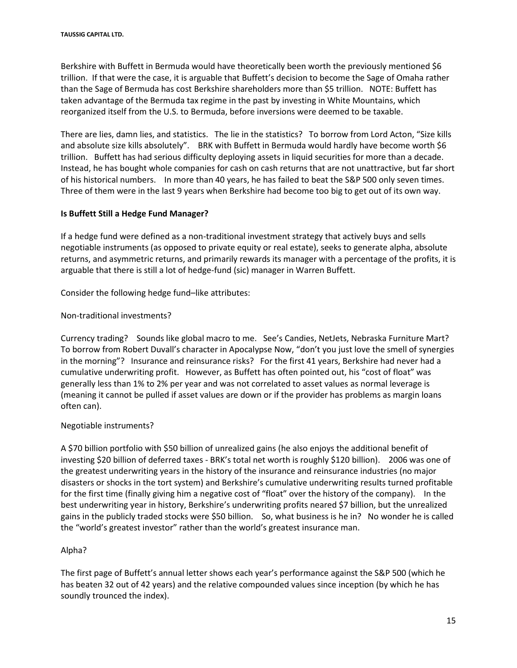Berkshire with Buffett in Bermuda would have theoretically been worth the previously mentioned \$6 trillion. If that were the case, it is arguable that Buffett's decision to become the Sage of Omaha rather than the Sage of Bermuda has cost Berkshire shareholders more than \$5 trillion. NOTE: Buffett has taken advantage of the Bermuda tax regime in the past by investing in White Mountains, which reorganized itself from the U.S. to Bermuda, before inversions were deemed to be taxable.

There are lies, damn lies, and statistics. The lie in the statistics? To borrow from Lord Acton, "Size kills and absolute size kills absolutely". BRK with Buffett in Bermuda would hardly have become worth \$6 trillion. Buffett has had serious difficulty deploying assets in liquid securities for more than a decade. Instead, he has bought whole companies for cash on cash returns that are not unattractive, but far short of his historical numbers. In more than 40 years, he has failed to beat the S&P 500 only seven times. Three of them were in the last 9 years when Berkshire had become too big to get out of its own way.

#### **Is Buffett Still a Hedge Fund Manager?**

If a hedge fund were defined as a non-traditional investment strategy that actively buys and sells negotiable instruments (as opposed to private equity or real estate), seeks to generate alpha, absolute returns, and asymmetric returns, and primarily rewards its manager with a percentage of the profits, it is arguable that there is still a lot of hedge-fund (sic) manager in Warren Buffett.

Consider the following hedge fund–like attributes:

#### Non-traditional investments?

Currency trading? Sounds like global macro to me. See's Candies, NetJets, Nebraska Furniture Mart? To borrow from Robert Duvall's character in Apocalypse Now, "don't you just love the smell of synergies in the morning"? Insurance and reinsurance risks? For the first 41 years, Berkshire had never had a cumulative underwriting profit. However, as Buffett has often pointed out, his "cost of float" was generally less than 1% to 2% per year and was not correlated to asset values as normal leverage is (meaning it cannot be pulled if asset values are down or if the provider has problems as margin loans often can).

#### Negotiable instruments?

A \$70 billion portfolio with \$50 billion of unrealized gains (he also enjoys the additional benefit of investing \$20 billion of deferred taxes - BRK's total net worth is roughly \$120 billion). 2006 was one of the greatest underwriting years in the history of the insurance and reinsurance industries (no major disasters or shocks in the tort system) and Berkshire's cumulative underwriting results turned profitable for the first time (finally giving him a negative cost of "float" over the history of the company). In the best underwriting year in history, Berkshire's underwriting profits neared \$7 billion, but the unrealized gains in the publicly traded stocks were \$50 billion. So, what business is he in? No wonder he is called the "world's greatest investor" rather than the world's greatest insurance man.

#### Alpha?

The first page of Buffett's annual letter shows each year's performance against the S&P 500 (which he has beaten 32 out of 42 years) and the relative compounded values since inception (by which he has soundly trounced the index).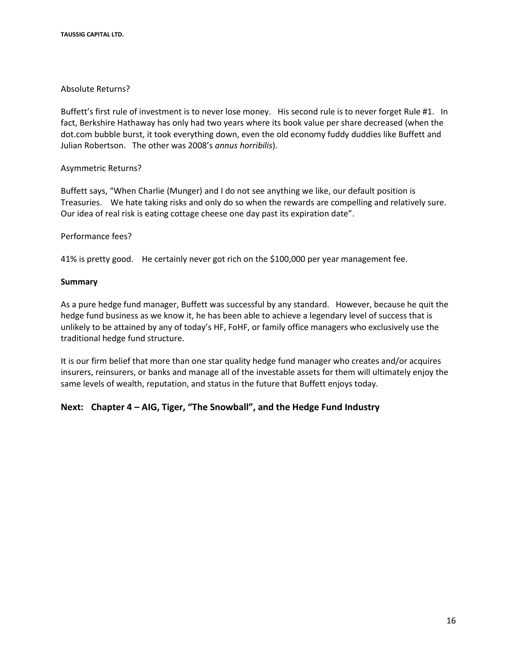#### Absolute Returns?

Buffett's first rule of investment is to never lose money. His second rule is to never forget Rule #1. In fact, Berkshire Hathaway has only had two years where its book value per share decreased (when the dot.com bubble burst, it took everything down, even the old economy fuddy duddies like Buffett and Julian Robertson. The other was 2008's *annus horribilis*).

#### Asymmetric Returns?

Buffett says, "When Charlie (Munger) and I do not see anything we like, our default position is Treasuries. We hate taking risks and only do so when the rewards are compelling and relatively sure. Our idea of real risk is eating cottage cheese one day past its expiration date".

#### Performance fees?

41% is pretty good. He certainly never got rich on the \$100,000 per year management fee.

#### **Summary**

As a pure hedge fund manager, Buffett was successful by any standard. However, because he quit the hedge fund business as we know it, he has been able to achieve a legendary level of success that is unlikely to be attained by any of today's HF, FoHF, or family office managers who exclusively use the traditional hedge fund structure.

It is our firm belief that more than one star quality hedge fund manager who creates and/or acquires insurers, reinsurers, or banks and manage all of the investable assets for them will ultimately enjoy the same levels of wealth, reputation, and status in the future that Buffett enjoys today.

#### **Next: Chapter 4 – AIG, Tiger, "The Snowball", and the Hedge Fund Industry**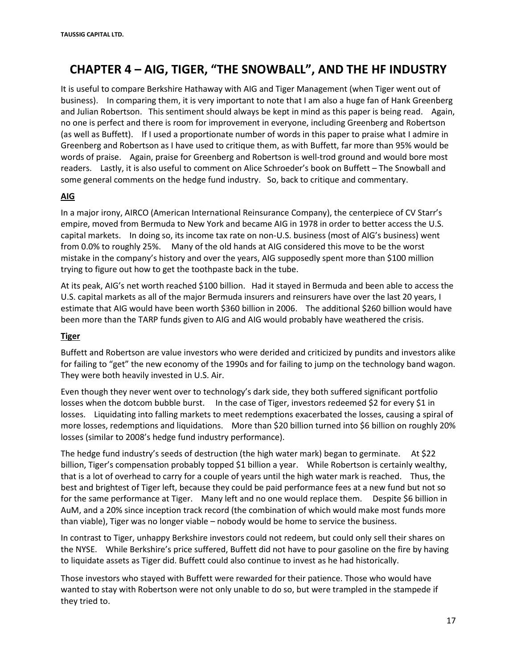## **CHAPTER 4 – AIG, TIGER, "THE SNOWBALL", AND THE HF INDUSTRY**

It is useful to compare Berkshire Hathaway with AIG and Tiger Management (when Tiger went out of business). In comparing them, it is very important to note that I am also a huge fan of Hank Greenberg and Julian Robertson. This sentiment should always be kept in mind as this paper is being read. Again, no one is perfect and there is room for improvement in everyone, including Greenberg and Robertson (as well as Buffett). If I used a proportionate number of words in this paper to praise what I admire in Greenberg and Robertson as I have used to critique them, as with Buffett, far more than 95% would be words of praise. Again, praise for Greenberg and Robertson is well-trod ground and would bore most readers. Lastly, it is also useful to comment on Alice Schroeder's book on Buffett – The Snowball and some general comments on the hedge fund industry. So, back to critique and commentary.

#### **AIG**

In a major irony, AIRCO (American International Reinsurance Company), the centerpiece of CV Starr's empire, moved from Bermuda to New York and became AIG in 1978 in order to better access the U.S. capital markets. In doing so, its income tax rate on non-U.S. business (most of AIG's business) went from 0.0% to roughly 25%. Many of the old hands at AIG considered this move to be the worst mistake in the company's history and over the years, AIG supposedly spent more than \$100 million trying to figure out how to get the toothpaste back in the tube.

At its peak, AIG's net worth reached \$100 billion. Had it stayed in Bermuda and been able to access the U.S. capital markets as all of the major Bermuda insurers and reinsurers have over the last 20 years, I estimate that AIG would have been worth \$360 billion in 2006. The additional \$260 billion would have been more than the TARP funds given to AIG and AIG would probably have weathered the crisis.

#### **Tiger**

Buffett and Robertson are value investors who were derided and criticized by pundits and investors alike for failing to "get" the new economy of the 1990s and for failing to jump on the technology band wagon. They were both heavily invested in U.S. Air.

Even though they never went over to technology's dark side, they both suffered significant portfolio losses when the dotcom bubble burst. In the case of Tiger, investors redeemed \$2 for every \$1 in losses. Liquidating into falling markets to meet redemptions exacerbated the losses, causing a spiral of more losses, redemptions and liquidations. More than \$20 billion turned into \$6 billion on roughly 20% losses (similar to 2008's hedge fund industry performance).

The hedge fund industry's seeds of destruction (the high water mark) began to germinate. At \$22 billion, Tiger's compensation probably topped \$1 billion a year. While Robertson is certainly wealthy, that is a lot of overhead to carry for a couple of years until the high water mark is reached. Thus, the best and brightest of Tiger left, because they could be paid performance fees at a new fund but not so for the same performance at Tiger. Many left and no one would replace them. Despite \$6 billion in AuM, and a 20% since inception track record (the combination of which would make most funds more than viable), Tiger was no longer viable – nobody would be home to service the business.

In contrast to Tiger, unhappy Berkshire investors could not redeem, but could only sell their shares on the NYSE. While Berkshire's price suffered, Buffett did not have to pour gasoline on the fire by having to liquidate assets as Tiger did. Buffett could also continue to invest as he had historically.

Those investors who stayed with Buffett were rewarded for their patience. Those who would have wanted to stay with Robertson were not only unable to do so, but were trampled in the stampede if they tried to.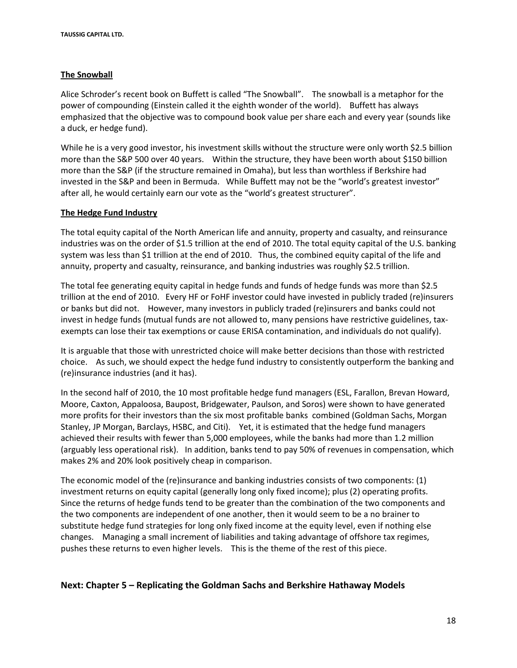#### **The Snowball**

Alice Schroder's recent book on Buffett is called "The Snowball". The snowball is a metaphor for the power of compounding (Einstein called it the eighth wonder of the world). Buffett has always emphasized that the objective was to compound book value per share each and every year (sounds like a duck, er hedge fund).

While he is a very good investor, his investment skills without the structure were only worth \$2.5 billion more than the S&P 500 over 40 years. Within the structure, they have been worth about \$150 billion more than the S&P (if the structure remained in Omaha), but less than worthless if Berkshire had invested in the S&P and been in Bermuda. While Buffett may not be the "world's greatest investor" after all, he would certainly earn our vote as the "world's greatest structurer".

#### **The Hedge Fund Industry**

The total equity capital of the North American life and annuity, property and casualty, and reinsurance industries was on the order of \$1.5 trillion at the end of 2010. The total equity capital of the U.S. banking system was less than \$1 trillion at the end of 2010. Thus, the combined equity capital of the life and annuity, property and casualty, reinsurance, and banking industries was roughly \$2.5 trillion.

The total fee generating equity capital in hedge funds and funds of hedge funds was more than \$2.5 trillion at the end of 2010. Every HF or FoHF investor could have invested in publicly traded (re)insurers or banks but did not. However, many investors in publicly traded (re)insurers and banks could not invest in hedge funds (mutual funds are not allowed to, many pensions have restrictive guidelines, taxexempts can lose their tax exemptions or cause ERISA contamination, and individuals do not qualify).

It is arguable that those with unrestricted choice will make better decisions than those with restricted choice. As such, we should expect the hedge fund industry to consistently outperform the banking and (re)insurance industries (and it has).

In the second half of 2010, the 10 most profitable hedge fund managers (ESL, Farallon, Brevan Howard, Moore, Caxton, Appaloosa, Baupost, Bridgewater, Paulson, and Soros) were shown to have generated more profits for their investors than the six most profitable banks combined (Goldman Sachs, Morgan Stanley, JP Morgan, Barclays, HSBC, and Citi). Yet, it is estimated that the hedge fund managers achieved their results with fewer than 5,000 employees, while the banks had more than 1.2 million (arguably less operational risk). In addition, banks tend to pay 50% of revenues in compensation, which makes 2% and 20% look positively cheap in comparison.

The economic model of the (re)insurance and banking industries consists of two components: (1) investment returns on equity capital (generally long only fixed income); plus (2) operating profits. Since the returns of hedge funds tend to be greater than the combination of the two components and the two components are independent of one another, then it would seem to be a no brainer to substitute hedge fund strategies for long only fixed income at the equity level, even if nothing else changes. Managing a small increment of liabilities and taking advantage of offshore tax regimes, pushes these returns to even higher levels. This is the theme of the rest of this piece.

#### **Next: Chapter 5 – Replicating the Goldman Sachs and Berkshire Hathaway Models**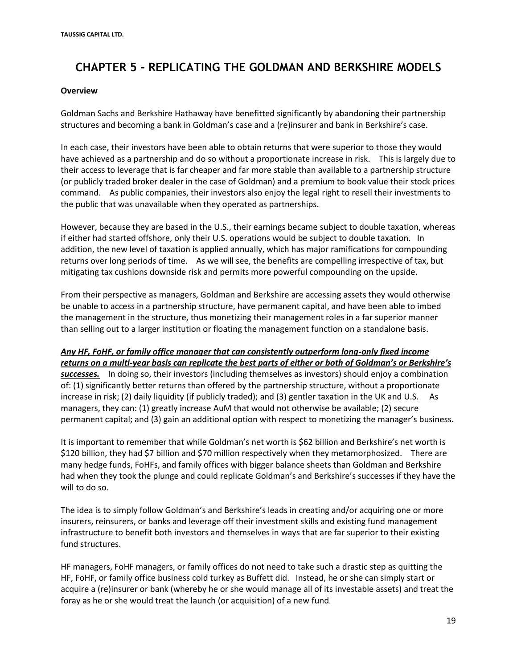## **CHAPTER 5 – REPLICATING THE GOLDMAN AND BERKSHIRE MODELS**

#### **Overview**

Goldman Sachs and Berkshire Hathaway have benefitted significantly by abandoning their partnership structures and becoming a bank in Goldman's case and a (re)insurer and bank in Berkshire's case.

In each case, their investors have been able to obtain returns that were superior to those they would have achieved as a partnership and do so without a proportionate increase in risk. This is largely due to their access to leverage that is far cheaper and far more stable than available to a partnership structure (or publicly traded broker dealer in the case of Goldman) and a premium to book value their stock prices command. As public companies, their investors also enjoy the legal right to resell their investments to the public that was unavailable when they operated as partnerships.

However, because they are based in the U.S., their earnings became subject to double taxation, whereas if either had started offshore, only their U.S. operations would be subject to double taxation. In addition, the new level of taxation is applied annually, which has major ramifications for compounding returns over long periods of time. As we will see, the benefits are compelling irrespective of tax, but mitigating tax cushions downside risk and permits more powerful compounding on the upside.

From their perspective as managers, Goldman and Berkshire are accessing assets they would otherwise be unable to access in a partnership structure, have permanent capital, and have been able to imbed the management in the structure, thus monetizing their management roles in a far superior manner than selling out to a larger institution or floating the management function on a standalone basis.

#### *Any HF, FoHF, or family office manager that can consistently outperform long-only fixed income returns on a multi-year basis can replicate the best parts of either or both of Goldman's or Berkshire's*

*successes.* In doing so, their investors (including themselves as investors) should enjoy a combination of: (1) significantly better returns than offered by the partnership structure, without a proportionate increase in risk; (2) daily liquidity (if publicly traded); and (3) gentler taxation in the UK and U.S. As managers, they can: (1) greatly increase AuM that would not otherwise be available; (2) secure permanent capital; and (3) gain an additional option with respect to monetizing the manager's business.

It is important to remember that while Goldman's net worth is \$62 billion and Berkshire's net worth is \$120 billion, they had \$7 billion and \$70 million respectively when they metamorphosized. There are many hedge funds, FoHFs, and family offices with bigger balance sheets than Goldman and Berkshire had when they took the plunge and could replicate Goldman's and Berkshire's successes if they have the will to do so.

The idea is to simply follow Goldman's and Berkshire's leads in creating and/or acquiring one or more insurers, reinsurers, or banks and leverage off their investment skills and existing fund management infrastructure to benefit both investors and themselves in ways that are far superior to their existing fund structures.

HF managers, FoHF managers, or family offices do not need to take such a drastic step as quitting the HF, FoHF, or family office business cold turkey as Buffett did. Instead, he or she can simply start or acquire a (re)insurer or bank (whereby he or she would manage all of its investable assets) and treat the foray as he or she would treat the launch (or acquisition) of a new fund.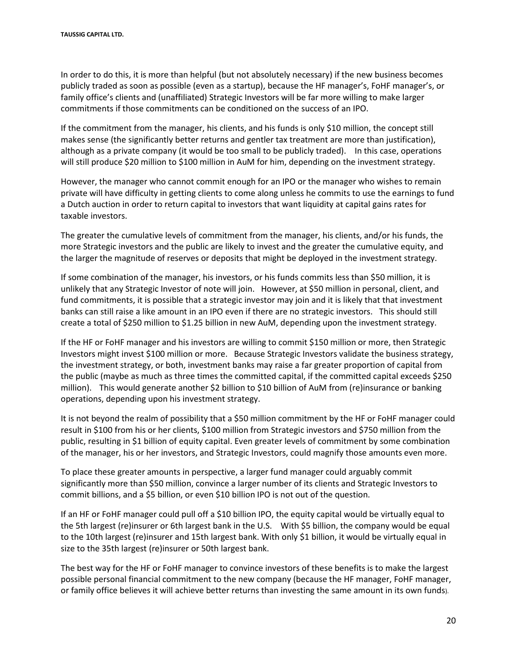In order to do this, it is more than helpful (but not absolutely necessary) if the new business becomes publicly traded as soon as possible (even as a startup), because the HF manager's, FoHF manager's, or family office's clients and (unaffiliated) Strategic Investors will be far more willing to make larger commitments if those commitments can be conditioned on the success of an IPO.

If the commitment from the manager, his clients, and his funds is only \$10 million, the concept still makes sense (the significantly better returns and gentler tax treatment are more than justification), although as a private company (it would be too small to be publicly traded). In this case, operations will still produce \$20 million to \$100 million in AuM for him, depending on the investment strategy.

However, the manager who cannot commit enough for an IPO or the manager who wishes to remain private will have difficulty in getting clients to come along unless he commits to use the earnings to fund a Dutch auction in order to return capital to investors that want liquidity at capital gains rates for taxable investors.

The greater the cumulative levels of commitment from the manager, his clients, and/or his funds, the more Strategic investors and the public are likely to invest and the greater the cumulative equity, and the larger the magnitude of reserves or deposits that might be deployed in the investment strategy.

If some combination of the manager, his investors, or his funds commits less than \$50 million, it is unlikely that any Strategic Investor of note will join. However, at \$50 million in personal, client, and fund commitments, it is possible that a strategic investor may join and it is likely that that investment banks can still raise a like amount in an IPO even if there are no strategic investors. This should still create a total of \$250 million to \$1.25 billion in new AuM, depending upon the investment strategy.

If the HF or FoHF manager and his investors are willing to commit \$150 million or more, then Strategic Investors might invest \$100 million or more. Because Strategic Investors validate the business strategy, the investment strategy, or both, investment banks may raise a far greater proportion of capital from the public (maybe as much as three times the committed capital, if the committed capital exceeds \$250 million). This would generate another \$2 billion to \$10 billion of AuM from (re)insurance or banking operations, depending upon his investment strategy.

It is not beyond the realm of possibility that a \$50 million commitment by the HF or FoHF manager could result in \$100 from his or her clients, \$100 million from Strategic investors and \$750 million from the public, resulting in \$1 billion of equity capital. Even greater levels of commitment by some combination of the manager, his or her investors, and Strategic Investors, could magnify those amounts even more.

To place these greater amounts in perspective, a larger fund manager could arguably commit significantly more than \$50 million, convince a larger number of its clients and Strategic Investors to commit billions, and a \$5 billion, or even \$10 billion IPO is not out of the question.

If an HF or FoHF manager could pull off a \$10 billion IPO, the equity capital would be virtually equal to the 5th largest (re)insurer or 6th largest bank in the U.S. With \$5 billion, the company would be equal to the 10th largest (re)insurer and 15th largest bank. With only \$1 billion, it would be virtually equal in size to the 35th largest (re)insurer or 50th largest bank.

The best way for the HF or FoHF manager to convince investors of these benefits is to make the largest possible personal financial commitment to the new company (because the HF manager, FoHF manager, or family office believes it will achieve better returns than investing the same amount in its own funds).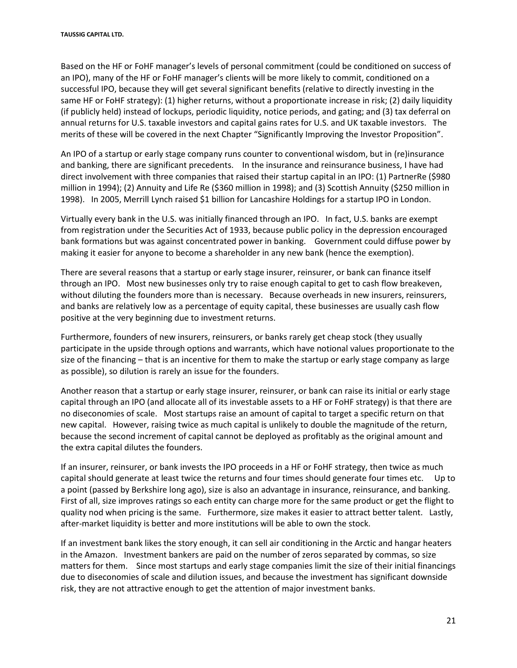Based on the HF or FoHF manager's levels of personal commitment (could be conditioned on success of an IPO), many of the HF or FoHF manager's clients will be more likely to commit, conditioned on a successful IPO, because they will get several significant benefits (relative to directly investing in the same HF or FoHF strategy): (1) higher returns, without a proportionate increase in risk; (2) daily liquidity (if publicly held) instead of lockups, periodic liquidity, notice periods, and gating; and (3) tax deferral on annual returns for U.S. taxable investors and capital gains rates for U.S. and UK taxable investors. The merits of these will be covered in the next Chapter "Significantly Improving the Investor Proposition".

An IPO of a startup or early stage company runs counter to conventional wisdom, but in (re)insurance and banking, there are significant precedents. In the insurance and reinsurance business, I have had direct involvement with three companies that raised their startup capital in an IPO: (1) PartnerRe (\$980 million in 1994); (2) Annuity and Life Re (\$360 million in 1998); and (3) Scottish Annuity (\$250 million in 1998). In 2005, Merrill Lynch raised \$1 billion for Lancashire Holdings for a startup IPO in London.

Virtually every bank in the U.S. was initially financed through an IPO. In fact, U.S. banks are exempt from registration under the Securities Act of 1933, because public policy in the depression encouraged bank formations but was against concentrated power in banking. Government could diffuse power by making it easier for anyone to become a shareholder in any new bank (hence the exemption).

There are several reasons that a startup or early stage insurer, reinsurer, or bank can finance itself through an IPO. Most new businesses only try to raise enough capital to get to cash flow breakeven, without diluting the founders more than is necessary. Because overheads in new insurers, reinsurers, and banks are relatively low as a percentage of equity capital, these businesses are usually cash flow positive at the very beginning due to investment returns.

Furthermore, founders of new insurers, reinsurers, or banks rarely get cheap stock (they usually participate in the upside through options and warrants, which have notional values proportionate to the size of the financing – that is an incentive for them to make the startup or early stage company as large as possible), so dilution is rarely an issue for the founders.

Another reason that a startup or early stage insurer, reinsurer, or bank can raise its initial or early stage capital through an IPO (and allocate all of its investable assets to a HF or FoHF strategy) is that there are no diseconomies of scale. Most startups raise an amount of capital to target a specific return on that new capital. However, raising twice as much capital is unlikely to double the magnitude of the return, because the second increment of capital cannot be deployed as profitably as the original amount and the extra capital dilutes the founders.

If an insurer, reinsurer, or bank invests the IPO proceeds in a HF or FoHF strategy, then twice as much capital should generate at least twice the returns and four times should generate four times etc. Up to a point (passed by Berkshire long ago), size is also an advantage in insurance, reinsurance, and banking. First of all, size improves ratings so each entity can charge more for the same product or get the flight to quality nod when pricing is the same. Furthermore, size makes it easier to attract better talent. Lastly, after-market liquidity is better and more institutions will be able to own the stock.

If an investment bank likes the story enough, it can sell air conditioning in the Arctic and hangar heaters in the Amazon. Investment bankers are paid on the number of zeros separated by commas, so size matters for them. Since most startups and early stage companies limit the size of their initial financings due to diseconomies of scale and dilution issues, and because the investment has significant downside risk, they are not attractive enough to get the attention of major investment banks.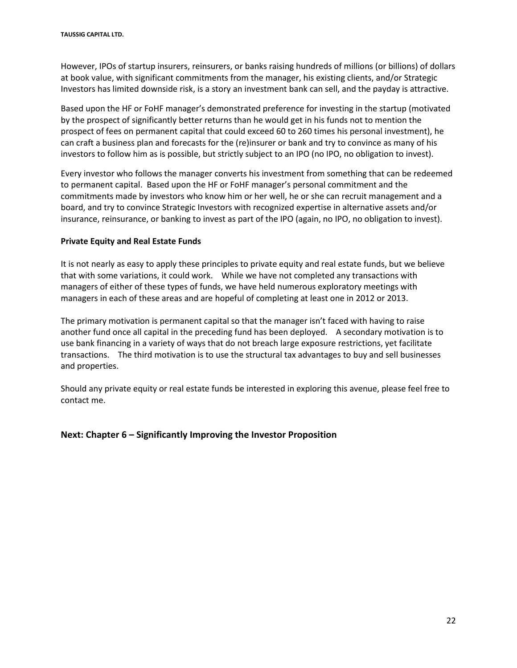However, IPOs of startup insurers, reinsurers, or banks raising hundreds of millions (or billions) of dollars at book value, with significant commitments from the manager, his existing clients, and/or Strategic Investors has limited downside risk, is a story an investment bank can sell, and the payday is attractive.

Based upon the HF or FoHF manager's demonstrated preference for investing in the startup (motivated by the prospect of significantly better returns than he would get in his funds not to mention the prospect of fees on permanent capital that could exceed 60 to 260 times his personal investment), he can craft a business plan and forecasts for the (re)insurer or bank and try to convince as many of his investors to follow him as is possible, but strictly subject to an IPO (no IPO, no obligation to invest).

Every investor who follows the manager converts his investment from something that can be redeemed to permanent capital. Based upon the HF or FoHF manager's personal commitment and the commitments made by investors who know him or her well, he or she can recruit management and a board, and try to convince Strategic Investors with recognized expertise in alternative assets and/or insurance, reinsurance, or banking to invest as part of the IPO (again, no IPO, no obligation to invest).

#### **Private Equity and Real Estate Funds**

It is not nearly as easy to apply these principles to private equity and real estate funds, but we believe that with some variations, it could work. While we have not completed any transactions with managers of either of these types of funds, we have held numerous exploratory meetings with managers in each of these areas and are hopeful of completing at least one in 2012 or 2013.

The primary motivation is permanent capital so that the manager isn't faced with having to raise another fund once all capital in the preceding fund has been deployed. A secondary motivation is to use bank financing in a variety of ways that do not breach large exposure restrictions, yet facilitate transactions. The third motivation is to use the structural tax advantages to buy and sell businesses and properties.

Should any private equity or real estate funds be interested in exploring this avenue, please feel free to contact me.

#### **Next: Chapter 6 – Significantly Improving the Investor Proposition**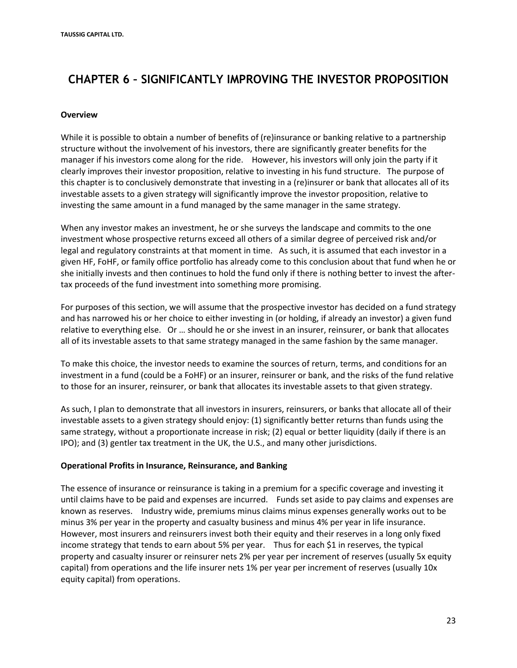## **CHAPTER 6 – SIGNIFICANTLY IMPROVING THE INVESTOR PROPOSITION**

#### **Overview**

While it is possible to obtain a number of benefits of (re)insurance or banking relative to a partnership structure without the involvement of his investors, there are significantly greater benefits for the manager if his investors come along for the ride. However, his investors will only join the party if it clearly improves their investor proposition, relative to investing in his fund structure. The purpose of this chapter is to conclusively demonstrate that investing in a (re)insurer or bank that allocates all of its investable assets to a given strategy will significantly improve the investor proposition, relative to investing the same amount in a fund managed by the same manager in the same strategy.

When any investor makes an investment, he or she surveys the landscape and commits to the one investment whose prospective returns exceed all others of a similar degree of perceived risk and/or legal and regulatory constraints at that moment in time. As such, it is assumed that each investor in a given HF, FoHF, or family office portfolio has already come to this conclusion about that fund when he or she initially invests and then continues to hold the fund only if there is nothing better to invest the aftertax proceeds of the fund investment into something more promising.

For purposes of this section, we will assume that the prospective investor has decided on a fund strategy and has narrowed his or her choice to either investing in (or holding, if already an investor) a given fund relative to everything else. Or … should he or she invest in an insurer, reinsurer, or bank that allocates all of its investable assets to that same strategy managed in the same fashion by the same manager.

To make this choice, the investor needs to examine the sources of return, terms, and conditions for an investment in a fund (could be a FoHF) or an insurer, reinsurer or bank, and the risks of the fund relative to those for an insurer, reinsurer, or bank that allocates its investable assets to that given strategy.

As such, I plan to demonstrate that all investors in insurers, reinsurers, or banks that allocate all of their investable assets to a given strategy should enjoy: (1) significantly better returns than funds using the same strategy, without a proportionate increase in risk; (2) equal or better liquidity (daily if there is an IPO); and (3) gentler tax treatment in the UK, the U.S., and many other jurisdictions.

#### **Operational Profits in Insurance, Reinsurance, and Banking**

The essence of insurance or reinsurance is taking in a premium for a specific coverage and investing it until claims have to be paid and expenses are incurred. Funds set aside to pay claims and expenses are known as reserves. Industry wide, premiums minus claims minus expenses generally works out to be minus 3% per year in the property and casualty business and minus 4% per year in life insurance. However, most insurers and reinsurers invest both their equity and their reserves in a long only fixed income strategy that tends to earn about 5% per year. Thus for each \$1 in reserves, the typical property and casualty insurer or reinsurer nets 2% per year per increment of reserves (usually 5x equity capital) from operations and the life insurer nets 1% per year per increment of reserves (usually 10x equity capital) from operations.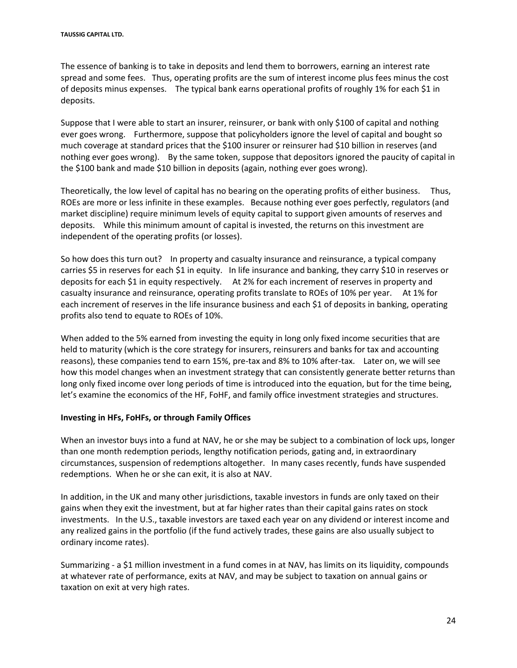The essence of banking is to take in deposits and lend them to borrowers, earning an interest rate spread and some fees. Thus, operating profits are the sum of interest income plus fees minus the cost of deposits minus expenses. The typical bank earns operational profits of roughly 1% for each \$1 in deposits.

Suppose that I were able to start an insurer, reinsurer, or bank with only \$100 of capital and nothing ever goes wrong. Furthermore, suppose that policyholders ignore the level of capital and bought so much coverage at standard prices that the \$100 insurer or reinsurer had \$10 billion in reserves (and nothing ever goes wrong). By the same token, suppose that depositors ignored the paucity of capital in the \$100 bank and made \$10 billion in deposits (again, nothing ever goes wrong).

Theoretically, the low level of capital has no bearing on the operating profits of either business. Thus, ROEs are more or less infinite in these examples. Because nothing ever goes perfectly, regulators (and market discipline) require minimum levels of equity capital to support given amounts of reserves and deposits. While this minimum amount of capital is invested, the returns on this investment are independent of the operating profits (or losses).

So how does this turn out? In property and casualty insurance and reinsurance, a typical company carries \$5 in reserves for each \$1 in equity. In life insurance and banking, they carry \$10 in reserves or deposits for each \$1 in equity respectively. At 2% for each increment of reserves in property and casualty insurance and reinsurance, operating profits translate to ROEs of 10% per year. At 1% for each increment of reserves in the life insurance business and each \$1 of deposits in banking, operating profits also tend to equate to ROEs of 10%.

When added to the 5% earned from investing the equity in long only fixed income securities that are held to maturity (which is the core strategy for insurers, reinsurers and banks for tax and accounting reasons), these companies tend to earn 15%, pre-tax and 8% to 10% after-tax. Later on, we will see how this model changes when an investment strategy that can consistently generate better returns than long only fixed income over long periods of time is introduced into the equation, but for the time being, let's examine the economics of the HF, FoHF, and family office investment strategies and structures.

#### **Investing in HFs, FoHFs, or through Family Offices**

When an investor buys into a fund at NAV, he or she may be subject to a combination of lock ups, longer than one month redemption periods, lengthy notification periods, gating and, in extraordinary circumstances, suspension of redemptions altogether. In many cases recently, funds have suspended redemptions. When he or she can exit, it is also at NAV.

In addition, in the UK and many other jurisdictions, taxable investors in funds are only taxed on their gains when they exit the investment, but at far higher rates than their capital gains rates on stock investments. In the U.S., taxable investors are taxed each year on any dividend or interest income and any realized gains in the portfolio (if the fund actively trades, these gains are also usually subject to ordinary income rates).

Summarizing - a \$1 million investment in a fund comes in at NAV, has limits on its liquidity, compounds at whatever rate of performance, exits at NAV, and may be subject to taxation on annual gains or taxation on exit at very high rates.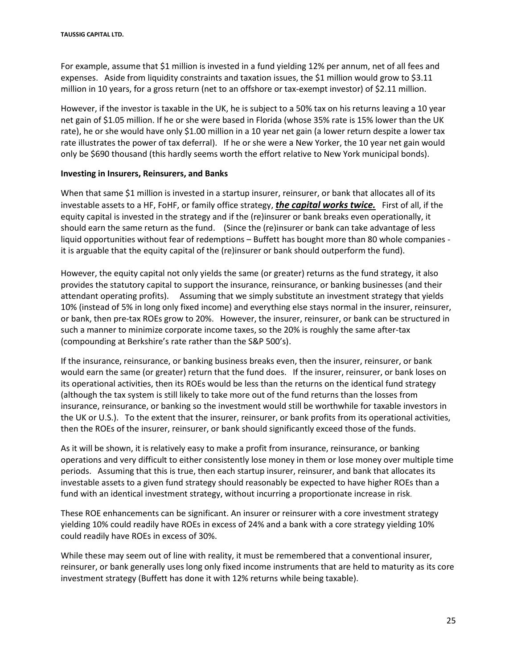For example, assume that \$1 million is invested in a fund yielding 12% per annum, net of all fees and expenses. Aside from liquidity constraints and taxation issues, the \$1 million would grow to \$3.11 million in 10 years, for a gross return (net to an offshore or tax-exempt investor) of \$2.11 million.

However, if the investor is taxable in the UK, he is subject to a 50% tax on his returns leaving a 10 year net gain of \$1.05 million. If he or she were based in Florida (whose 35% rate is 15% lower than the UK rate), he or she would have only \$1.00 million in a 10 year net gain (a lower return despite a lower tax rate illustrates the power of tax deferral). If he or she were a New Yorker, the 10 year net gain would only be \$690 thousand (this hardly seems worth the effort relative to New York municipal bonds).

#### **Investing in Insurers, Reinsurers, and Banks**

When that same \$1 million is invested in a startup insurer, reinsurer, or bank that allocates all of its investable assets to a HF, FoHF, or family office strategy, *the capital works twice.* First of all, if the equity capital is invested in the strategy and if the (re)insurer or bank breaks even operationally, it should earn the same return as the fund. (Since the (re)insurer or bank can take advantage of less liquid opportunities without fear of redemptions – Buffett has bought more than 80 whole companies it is arguable that the equity capital of the (re)insurer or bank should outperform the fund).

However, the equity capital not only yields the same (or greater) returns as the fund strategy, it also provides the statutory capital to support the insurance, reinsurance, or banking businesses (and their attendant operating profits). Assuming that we simply substitute an investment strategy that yields 10% (instead of 5% in long only fixed income) and everything else stays normal in the insurer, reinsurer, or bank, then pre-tax ROEs grow to 20%. However, the insurer, reinsurer, or bank can be structured in such a manner to minimize corporate income taxes, so the 20% is roughly the same after-tax (compounding at Berkshire's rate rather than the S&P 500's).

If the insurance, reinsurance, or banking business breaks even, then the insurer, reinsurer, or bank would earn the same (or greater) return that the fund does. If the insurer, reinsurer, or bank loses on its operational activities, then its ROEs would be less than the returns on the identical fund strategy (although the tax system is still likely to take more out of the fund returns than the losses from insurance, reinsurance, or banking so the investment would still be worthwhile for taxable investors in the UK or U.S.). To the extent that the insurer, reinsurer, or bank profits from its operational activities, then the ROEs of the insurer, reinsurer, or bank should significantly exceed those of the funds.

As it will be shown, it is relatively easy to make a profit from insurance, reinsurance, or banking operations and very difficult to either consistently lose money in them or lose money over multiple time periods. Assuming that this is true, then each startup insurer, reinsurer, and bank that allocates its investable assets to a given fund strategy should reasonably be expected to have higher ROEs than a fund with an identical investment strategy, without incurring a proportionate increase in risk.

These ROE enhancements can be significant. An insurer or reinsurer with a core investment strategy yielding 10% could readily have ROEs in excess of 24% and a bank with a core strategy yielding 10% could readily have ROEs in excess of 30%.

While these may seem out of line with reality, it must be remembered that a conventional insurer, reinsurer, or bank generally uses long only fixed income instruments that are held to maturity as its core investment strategy (Buffett has done it with 12% returns while being taxable).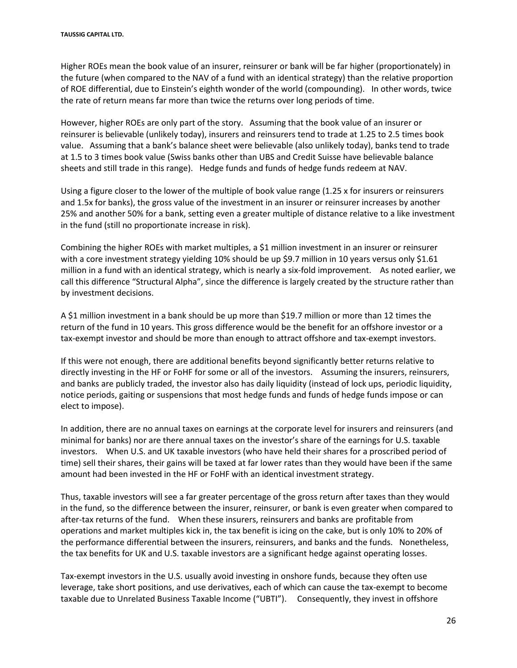Higher ROEs mean the book value of an insurer, reinsurer or bank will be far higher (proportionately) in the future (when compared to the NAV of a fund with an identical strategy) than the relative proportion of ROE differential, due to Einstein's eighth wonder of the world (compounding). In other words, twice the rate of return means far more than twice the returns over long periods of time.

However, higher ROEs are only part of the story. Assuming that the book value of an insurer or reinsurer is believable (unlikely today), insurers and reinsurers tend to trade at 1.25 to 2.5 times book value. Assuming that a bank's balance sheet were believable (also unlikely today), banks tend to trade at 1.5 to 3 times book value (Swiss banks other than UBS and Credit Suisse have believable balance sheets and still trade in this range). Hedge funds and funds of hedge funds redeem at NAV.

Using a figure closer to the lower of the multiple of book value range (1.25 x for insurers or reinsurers and 1.5x for banks), the gross value of the investment in an insurer or reinsurer increases by another 25% and another 50% for a bank, setting even a greater multiple of distance relative to a like investment in the fund (still no proportionate increase in risk).

Combining the higher ROEs with market multiples, a \$1 million investment in an insurer or reinsurer with a core investment strategy yielding 10% should be up \$9.7 million in 10 years versus only \$1.61 million in a fund with an identical strategy, which is nearly a six-fold improvement. As noted earlier, we call this difference "Structural Alpha", since the difference is largely created by the structure rather than by investment decisions.

A \$1 million investment in a bank should be up more than \$19.7 million or more than 12 times the return of the fund in 10 years. This gross difference would be the benefit for an offshore investor or a tax-exempt investor and should be more than enough to attract offshore and tax-exempt investors.

If this were not enough, there are additional benefits beyond significantly better returns relative to directly investing in the HF or FoHF for some or all of the investors. Assuming the insurers, reinsurers, and banks are publicly traded, the investor also has daily liquidity (instead of lock ups, periodic liquidity, notice periods, gaiting or suspensions that most hedge funds and funds of hedge funds impose or can elect to impose).

In addition, there are no annual taxes on earnings at the corporate level for insurers and reinsurers (and minimal for banks) nor are there annual taxes on the investor's share of the earnings for U.S. taxable investors. When U.S. and UK taxable investors (who have held their shares for a proscribed period of time) sell their shares, their gains will be taxed at far lower rates than they would have been if the same amount had been invested in the HF or FoHF with an identical investment strategy.

Thus, taxable investors will see a far greater percentage of the gross return after taxes than they would in the fund, so the difference between the insurer, reinsurer, or bank is even greater when compared to after-tax returns of the fund. When these insurers, reinsurers and banks are profitable from operations and market multiples kick in, the tax benefit is icing on the cake, but is only 10% to 20% of the performance differential between the insurers, reinsurers, and banks and the funds. Nonetheless, the tax benefits for UK and U.S. taxable investors are a significant hedge against operating losses.

Tax-exempt investors in the U.S. usually avoid investing in onshore funds, because they often use leverage, take short positions, and use derivatives, each of which can cause the tax-exempt to become taxable due to Unrelated Business Taxable Income ("UBTI"). Consequently, they invest in offshore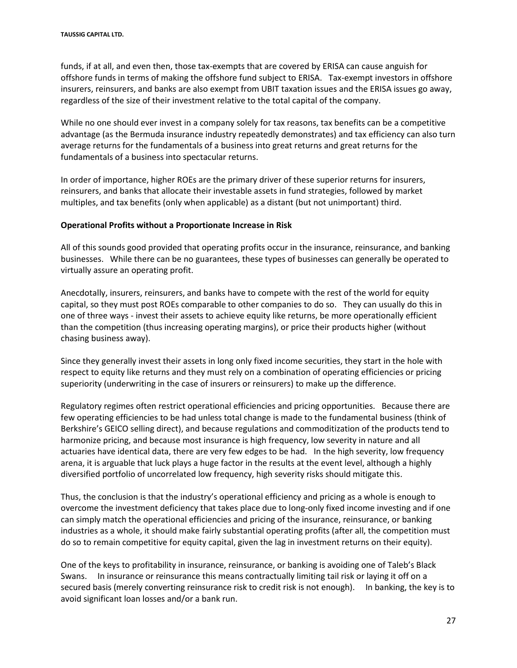funds, if at all, and even then, those tax-exempts that are covered by ERISA can cause anguish for offshore funds in terms of making the offshore fund subject to ERISA. Tax-exempt investors in offshore insurers, reinsurers, and banks are also exempt from UBIT taxation issues and the ERISA issues go away, regardless of the size of their investment relative to the total capital of the company.

While no one should ever invest in a company solely for tax reasons, tax benefits can be a competitive advantage (as the Bermuda insurance industry repeatedly demonstrates) and tax efficiency can also turn average returns for the fundamentals of a business into great returns and great returns for the fundamentals of a business into spectacular returns.

In order of importance, higher ROEs are the primary driver of these superior returns for insurers, reinsurers, and banks that allocate their investable assets in fund strategies, followed by market multiples, and tax benefits (only when applicable) as a distant (but not unimportant) third.

#### **Operational Profits without a Proportionate Increase in Risk**

All of this sounds good provided that operating profits occur in the insurance, reinsurance, and banking businesses. While there can be no guarantees, these types of businesses can generally be operated to virtually assure an operating profit.

Anecdotally, insurers, reinsurers, and banks have to compete with the rest of the world for equity capital, so they must post ROEs comparable to other companies to do so. They can usually do this in one of three ways - invest their assets to achieve equity like returns, be more operationally efficient than the competition (thus increasing operating margins), or price their products higher (without chasing business away).

Since they generally invest their assets in long only fixed income securities, they start in the hole with respect to equity like returns and they must rely on a combination of operating efficiencies or pricing superiority (underwriting in the case of insurers or reinsurers) to make up the difference.

Regulatory regimes often restrict operational efficiencies and pricing opportunities. Because there are few operating efficiencies to be had unless total change is made to the fundamental business (think of Berkshire's GEICO selling direct), and because regulations and commoditization of the products tend to harmonize pricing, and because most insurance is high frequency, low severity in nature and all actuaries have identical data, there are very few edges to be had. In the high severity, low frequency arena, it is arguable that luck plays a huge factor in the results at the event level, although a highly diversified portfolio of uncorrelated low frequency, high severity risks should mitigate this.

Thus, the conclusion is that the industry's operational efficiency and pricing as a whole is enough to overcome the investment deficiency that takes place due to long-only fixed income investing and if one can simply match the operational efficiencies and pricing of the insurance, reinsurance, or banking industries as a whole, it should make fairly substantial operating profits (after all, the competition must do so to remain competitive for equity capital, given the lag in investment returns on their equity).

One of the keys to profitability in insurance, reinsurance, or banking is avoiding one of Taleb's Black Swans. In insurance or reinsurance this means contractually limiting tail risk or laying it off on a secured basis (merely converting reinsurance risk to credit risk is not enough). In banking, the key is to avoid significant loan losses and/or a bank run.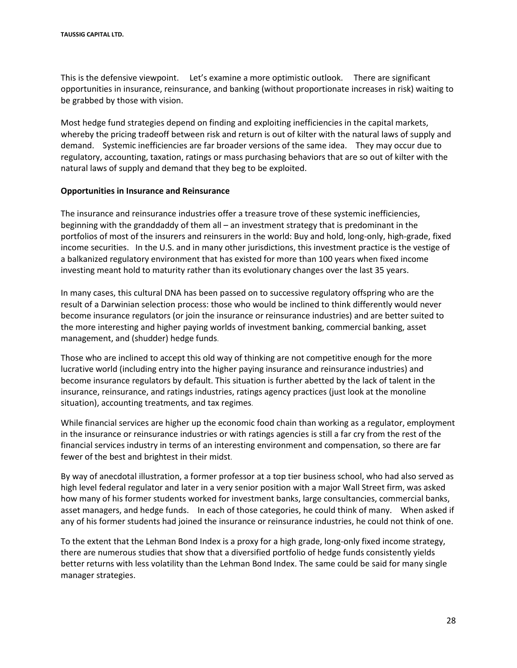This is the defensive viewpoint. Let's examine a more optimistic outlook. There are significant opportunities in insurance, reinsurance, and banking (without proportionate increases in risk) waiting to be grabbed by those with vision.

Most hedge fund strategies depend on finding and exploiting inefficiencies in the capital markets, whereby the pricing tradeoff between risk and return is out of kilter with the natural laws of supply and demand. Systemic inefficiencies are far broader versions of the same idea. They may occur due to regulatory, accounting, taxation, ratings or mass purchasing behaviors that are so out of kilter with the natural laws of supply and demand that they beg to be exploited.

#### **Opportunities in Insurance and Reinsurance**

The insurance and reinsurance industries offer a treasure trove of these systemic inefficiencies, beginning with the granddaddy of them all – an investment strategy that is predominant in the portfolios of most of the insurers and reinsurers in the world: Buy and hold, long-only, high-grade, fixed income securities. In the U.S. and in many other jurisdictions, this investment practice is the vestige of a balkanized regulatory environment that has existed for more than 100 years when fixed income investing meant hold to maturity rather than its evolutionary changes over the last 35 years.

In many cases, this cultural DNA has been passed on to successive regulatory offspring who are the result of a Darwinian selection process: those who would be inclined to think differently would never become insurance regulators (or join the insurance or reinsurance industries) and are better suited to the more interesting and higher paying worlds of investment banking, commercial banking, asset management, and (shudder) hedge funds.

Those who are inclined to accept this old way of thinking are not competitive enough for the more lucrative world (including entry into the higher paying insurance and reinsurance industries) and become insurance regulators by default. This situation is further abetted by the lack of talent in the insurance, reinsurance, and ratings industries, ratings agency practices (just look at the monoline situation), accounting treatments, and tax regimes.

While financial services are higher up the economic food chain than working as a regulator, employment in the insurance or reinsurance industries or with ratings agencies is still a far cry from the rest of the financial services industry in terms of an interesting environment and compensation, so there are far fewer of the best and brightest in their midst.

By way of anecdotal illustration, a former professor at a top tier business school, who had also served as high level federal regulator and later in a very senior position with a major Wall Street firm, was asked how many of his former students worked for investment banks, large consultancies, commercial banks, asset managers, and hedge funds. In each of those categories, he could think of many. When asked if any of his former students had joined the insurance or reinsurance industries, he could not think of one.

To the extent that the Lehman Bond Index is a proxy for a high grade, long-only fixed income strategy, there are numerous studies that show that a diversified portfolio of hedge funds consistently yields better returns with less volatility than the Lehman Bond Index. The same could be said for many single manager strategies.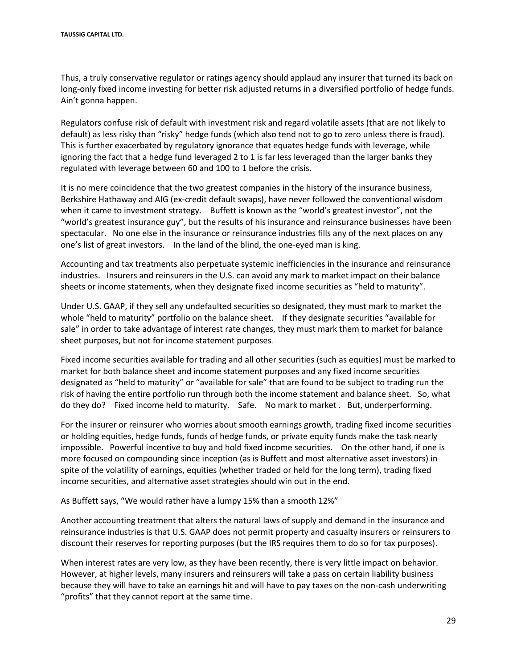Thus, a truly conservative regulator or ratings agency should applaud any insurer that turned its back on long-only fixed income investing for better risk adjusted returns in a diversified portfolio of hedge funds. Ain't gonna happen.

Regulators confuse risk of default with investment risk and regard volatile assets (that are not likely to default) as less risky than "risky" hedge funds (which also tend not to go to zero unless there is fraud). This is further exacerbated by regulatory ignorance that equates hedge funds with leverage, while ignoring the fact that a hedge fund leveraged 2 to 1 is far less leveraged than the larger banks they regulated with leverage between 60 and 100 to 1 before the crisis.

It is no mere coincidence that the two greatest companies in the history of the insurance business, Berkshire Hathaway and AIG (ex-credit default swaps), have never followed the conventional wisdom when it came to investment strategy. Buffett is known as the "world's greatest investor", not the "world's greatest insurance guy", but the results of his insurance and reinsurance businesses have been spectacular. No one else in the insurance or reinsurance industries fills any of the next places on any one's list of great investors. In the land of the blind, the one-eyed man is king.

Accounting and tax treatments also perpetuate systemic inefficiencies in the insurance and reinsurance industries. Insurers and reinsurers in the U.S. can avoid any mark to market impact on their balance sheets or income statements, when they designate fixed income securities as "held to maturity".

Under U.S. GAAP, if they sell any undefaulted securities so designated, they must mark to market the whole "held to maturity" portfolio on the balance sheet. If they designate securities "available for sale" in order to take advantage of interest rate changes, they must mark them to market for balance sheet purposes, but not for income statement purposes.

Fixed income securities available for trading and all other securities (such as equities) must be marked to market for both balance sheet and income statement purposes and any fixed income securities designated as "held to maturity" or "available for sale" that are found to be subject to trading run the risk of having the entire portfolio run through both the income statement and balance sheet. So, what do they do? Fixed income held to maturity. Safe. No mark to market . But, underperforming.

For the insurer or reinsurer who worries about smooth earnings growth, trading fixed income securities or holding equities, hedge funds, funds of hedge funds, or private equity funds make the task nearly impossible. Powerful incentive to buy and hold fixed income securities. On the other hand, if one is more focused on compounding since inception (as is Buffett and most alternative asset investors) in spite of the volatility of earnings, equities (whether traded or held for the long term), trading fixed income securities, and alternative asset strategies should win out in the end.

As Buffett says, "We would rather have a lumpy 15% than a smooth 12%"

Another accounting treatment that alters the natural laws of supply and demand in the insurance and reinsurance industries is that U.S. GAAP does not permit property and casualty insurers or reinsurers to discount their reserves for reporting purposes (but the IRS requires them to do so for tax purposes).

When interest rates are very low, as they have been recently, there is very little impact on behavior. However, at higher levels, many insurers and reinsurers will take a pass on certain liability business because they will have to take an earnings hit and will have to pay taxes on the non-cash underwriting "profits" that they cannot report at the same time.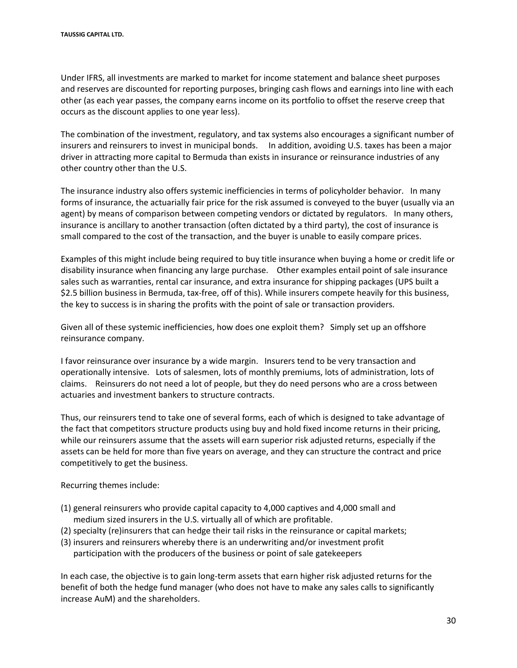Under IFRS, all investments are marked to market for income statement and balance sheet purposes and reserves are discounted for reporting purposes, bringing cash flows and earnings into line with each other (as each year passes, the company earns income on its portfolio to offset the reserve creep that occurs as the discount applies to one year less).

The combination of the investment, regulatory, and tax systems also encourages a significant number of insurers and reinsurers to invest in municipal bonds. In addition, avoiding U.S. taxes has been a major driver in attracting more capital to Bermuda than exists in insurance or reinsurance industries of any other country other than the U.S.

The insurance industry also offers systemic inefficiencies in terms of policyholder behavior. In many forms of insurance, the actuarially fair price for the risk assumed is conveyed to the buyer (usually via an agent) by means of comparison between competing vendors or dictated by regulators. In many others, insurance is ancillary to another transaction (often dictated by a third party), the cost of insurance is small compared to the cost of the transaction, and the buyer is unable to easily compare prices.

Examples of this might include being required to buy title insurance when buying a home or credit life or disability insurance when financing any large purchase. Other examples entail point of sale insurance sales such as warranties, rental car insurance, and extra insurance for shipping packages (UPS built a \$2.5 billion business in Bermuda, tax-free, off of this). While insurers compete heavily for this business, the key to success is in sharing the profits with the point of sale or transaction providers.

Given all of these systemic inefficiencies, how does one exploit them? Simply set up an offshore reinsurance company.

I favor reinsurance over insurance by a wide margin. Insurers tend to be very transaction and operationally intensive. Lots of salesmen, lots of monthly premiums, lots of administration, lots of claims. Reinsurers do not need a lot of people, but they do need persons who are a cross between actuaries and investment bankers to structure contracts.

Thus, our reinsurers tend to take one of several forms, each of which is designed to take advantage of the fact that competitors structure products using buy and hold fixed income returns in their pricing, while our reinsurers assume that the assets will earn superior risk adjusted returns, especially if the assets can be held for more than five years on average, and they can structure the contract and price competitively to get the business.

Recurring themes include:

- (1) general reinsurers who provide capital capacity to 4,000 captives and 4,000 small and medium sized insurers in the U.S. virtually all of which are profitable.
- (2) specialty (re)insurers that can hedge their tail risks in the reinsurance or capital markets;
- (3) insurers and reinsurers whereby there is an underwriting and/or investment profit participation with the producers of the business or point of sale gatekeepers

In each case, the objective is to gain long-term assets that earn higher risk adjusted returns for the benefit of both the hedge fund manager (who does not have to make any sales calls to significantly increase AuM) and the shareholders.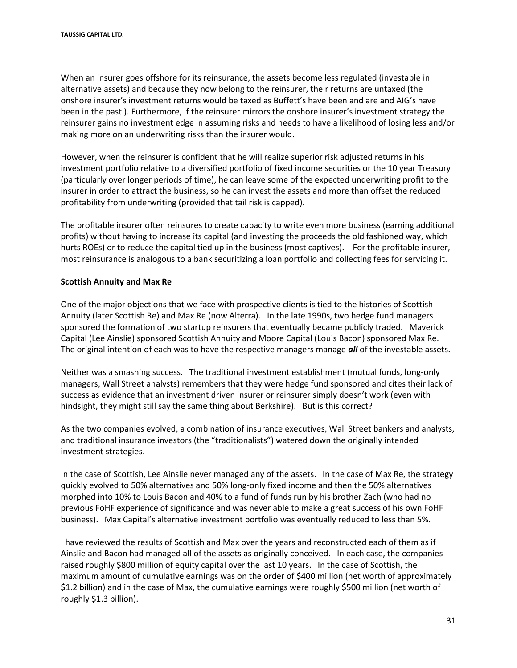When an insurer goes offshore for its reinsurance, the assets become less regulated (investable in alternative assets) and because they now belong to the reinsurer, their returns are untaxed (the onshore insurer's investment returns would be taxed as Buffett's have been and are and AIG's have been in the past ). Furthermore, if the reinsurer mirrors the onshore insurer's investment strategy the reinsurer gains no investment edge in assuming risks and needs to have a likelihood of losing less and/or making more on an underwriting risks than the insurer would.

However, when the reinsurer is confident that he will realize superior risk adjusted returns in his investment portfolio relative to a diversified portfolio of fixed income securities or the 10 year Treasury (particularly over longer periods of time), he can leave some of the expected underwriting profit to the insurer in order to attract the business, so he can invest the assets and more than offset the reduced profitability from underwriting (provided that tail risk is capped).

The profitable insurer often reinsures to create capacity to write even more business (earning additional profits) without having to increase its capital (and investing the proceeds the old fashioned way, which hurts ROEs) or to reduce the capital tied up in the business (most captives). For the profitable insurer, most reinsurance is analogous to a bank securitizing a loan portfolio and collecting fees for servicing it.

#### **Scottish Annuity and Max Re**

One of the major objections that we face with prospective clients is tied to the histories of Scottish Annuity (later Scottish Re) and Max Re (now Alterra). In the late 1990s, two hedge fund managers sponsored the formation of two startup reinsurers that eventually became publicly traded. Maverick Capital (Lee Ainslie) sponsored Scottish Annuity and Moore Capital (Louis Bacon) sponsored Max Re. The original intention of each was to have the respective managers manage *all* of the investable assets.

Neither was a smashing success. The traditional investment establishment (mutual funds, long-only managers, Wall Street analysts) remembers that they were hedge fund sponsored and cites their lack of success as evidence that an investment driven insurer or reinsurer simply doesn't work (even with hindsight, they might still say the same thing about Berkshire). But is this correct?

As the two companies evolved, a combination of insurance executives, Wall Street bankers and analysts, and traditional insurance investors (the "traditionalists") watered down the originally intended investment strategies.

In the case of Scottish, Lee Ainslie never managed any of the assets. In the case of Max Re, the strategy quickly evolved to 50% alternatives and 50% long-only fixed income and then the 50% alternatives morphed into 10% to Louis Bacon and 40% to a fund of funds run by his brother Zach (who had no previous FoHF experience of significance and was never able to make a great success of his own FoHF business). Max Capital's alternative investment portfolio was eventually reduced to less than 5%.

I have reviewed the results of Scottish and Max over the years and reconstructed each of them as if Ainslie and Bacon had managed all of the assets as originally conceived. In each case, the companies raised roughly \$800 million of equity capital over the last 10 years. In the case of Scottish, the maximum amount of cumulative earnings was on the order of \$400 million (net worth of approximately \$1.2 billion) and in the case of Max, the cumulative earnings were roughly \$500 million (net worth of roughly \$1.3 billion).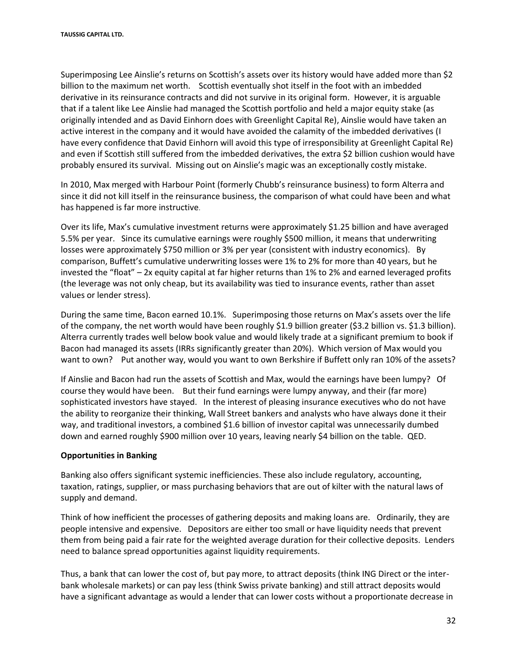Superimposing Lee Ainslie's returns on Scottish's assets over its history would have added more than \$2 billion to the maximum net worth. Scottish eventually shot itself in the foot with an imbedded derivative in its reinsurance contracts and did not survive in its original form. However, it is arguable that if a talent like Lee Ainslie had managed the Scottish portfolio and held a major equity stake (as originally intended and as David Einhorn does with Greenlight Capital Re), Ainslie would have taken an active interest in the company and it would have avoided the calamity of the imbedded derivatives (I have every confidence that David Einhorn will avoid this type of irresponsibility at Greenlight Capital Re) and even if Scottish still suffered from the imbedded derivatives, the extra \$2 billion cushion would have probably ensured its survival. Missing out on Ainslie's magic was an exceptionally costly mistake.

In 2010, Max merged with Harbour Point (formerly Chubb's reinsurance business) to form Alterra and since it did not kill itself in the reinsurance business, the comparison of what could have been and what has happened is far more instructive.

Over its life, Max's cumulative investment returns were approximately \$1.25 billion and have averaged 5.5% per year. Since its cumulative earnings were roughly \$500 million, it means that underwriting losses were approximately \$750 million or 3% per year (consistent with industry economics). By comparison, Buffett's cumulative underwriting losses were 1% to 2% for more than 40 years, but he invested the "float" – 2x equity capital at far higher returns than 1% to 2% and earned leveraged profits (the leverage was not only cheap, but its availability was tied to insurance events, rather than asset values or lender stress).

During the same time, Bacon earned 10.1%. Superimposing those returns on Max's assets over the life of the company, the net worth would have been roughly \$1.9 billion greater (\$3.2 billion vs. \$1.3 billion). Alterra currently trades well below book value and would likely trade at a significant premium to book if Bacon had managed its assets (IRRs significantly greater than 20%). Which version of Max would you want to own? Put another way, would you want to own Berkshire if Buffett only ran 10% of the assets?

If Ainslie and Bacon had run the assets of Scottish and Max, would the earnings have been lumpy? Of course they would have been. But their fund earnings were lumpy anyway, and their (far more) sophisticated investors have stayed. In the interest of pleasing insurance executives who do not have the ability to reorganize their thinking, Wall Street bankers and analysts who have always done it their way, and traditional investors, a combined \$1.6 billion of investor capital was unnecessarily dumbed down and earned roughly \$900 million over 10 years, leaving nearly \$4 billion on the table. QED.

#### **Opportunities in Banking**

Banking also offers significant systemic inefficiencies. These also include regulatory, accounting, taxation, ratings, supplier, or mass purchasing behaviors that are out of kilter with the natural laws of supply and demand.

Think of how inefficient the processes of gathering deposits and making loans are. Ordinarily, they are people intensive and expensive. Depositors are either too small or have liquidity needs that prevent them from being paid a fair rate for the weighted average duration for their collective deposits. Lenders need to balance spread opportunities against liquidity requirements.

Thus, a bank that can lower the cost of, but pay more, to attract deposits (think ING Direct or the interbank wholesale markets) or can pay less (think Swiss private banking) and still attract deposits would have a significant advantage as would a lender that can lower costs without a proportionate decrease in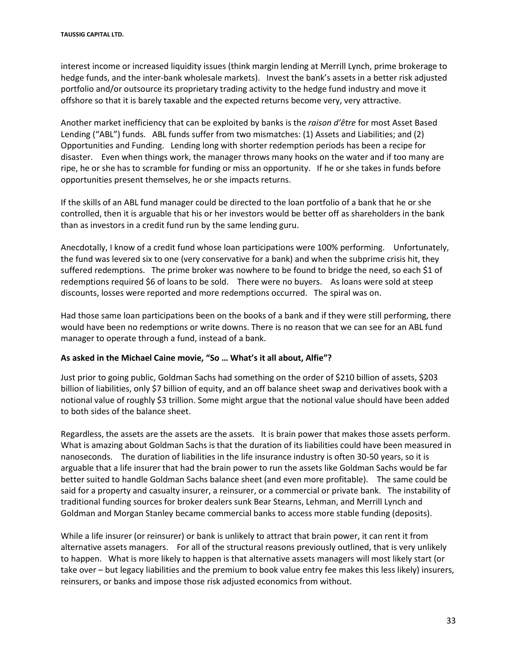interest income or increased liquidity issues (think margin lending at Merrill Lynch, prime brokerage to hedge funds, and the inter-bank wholesale markets). Invest the bank's assets in a better risk adjusted portfolio and/or outsource its proprietary trading activity to the hedge fund industry and move it offshore so that it is barely taxable and the expected returns become very, very attractive.

Another market inefficiency that can be exploited by banks is the *raison d'être* for most Asset Based Lending ("ABL") funds. ABL funds suffer from two mismatches: (1) Assets and Liabilities; and (2) Opportunities and Funding. Lending long with shorter redemption periods has been a recipe for disaster. Even when things work, the manager throws many hooks on the water and if too many are ripe, he or she has to scramble for funding or miss an opportunity. If he or she takes in funds before opportunities present themselves, he or she impacts returns.

If the skills of an ABL fund manager could be directed to the loan portfolio of a bank that he or she controlled, then it is arguable that his or her investors would be better off as shareholders in the bank than as investors in a credit fund run by the same lending guru.

Anecdotally, I know of a credit fund whose loan participations were 100% performing. Unfortunately, the fund was levered six to one (very conservative for a bank) and when the subprime crisis hit, they suffered redemptions. The prime broker was nowhere to be found to bridge the need, so each \$1 of redemptions required \$6 of loans to be sold. There were no buyers. As loans were sold at steep discounts, losses were reported and more redemptions occurred. The spiral was on.

Had those same loan participations been on the books of a bank and if they were still performing, there would have been no redemptions or write downs. There is no reason that we can see for an ABL fund manager to operate through a fund, instead of a bank.

#### **As asked in the Michael Caine movie, "So … What's it all about, Alfie"?**

Just prior to going public, Goldman Sachs had something on the order of \$210 billion of assets, \$203 billion of liabilities, only \$7 billion of equity, and an off balance sheet swap and derivatives book with a notional value of roughly \$3 trillion. Some might argue that the notional value should have been added to both sides of the balance sheet.

Regardless, the assets are the assets are the assets. It is brain power that makes those assets perform. What is amazing about Goldman Sachs is that the duration of its liabilities could have been measured in nanoseconds. The duration of liabilities in the life insurance industry is often 30-50 years, so it is arguable that a life insurer that had the brain power to run the assets like Goldman Sachs would be far better suited to handle Goldman Sachs balance sheet (and even more profitable). The same could be said for a property and casualty insurer, a reinsurer, or a commercial or private bank. The instability of traditional funding sources for broker dealers sunk Bear Stearns, Lehman, and Merrill Lynch and Goldman and Morgan Stanley became commercial banks to access more stable funding (deposits).

While a life insurer (or reinsurer) or bank is unlikely to attract that brain power, it can rent it from alternative assets managers. For all of the structural reasons previously outlined, that is very unlikely to happen. What is more likely to happen is that alternative assets managers will most likely start (or take over – but legacy liabilities and the premium to book value entry fee makes this less likely) insurers, reinsurers, or banks and impose those risk adjusted economics from without.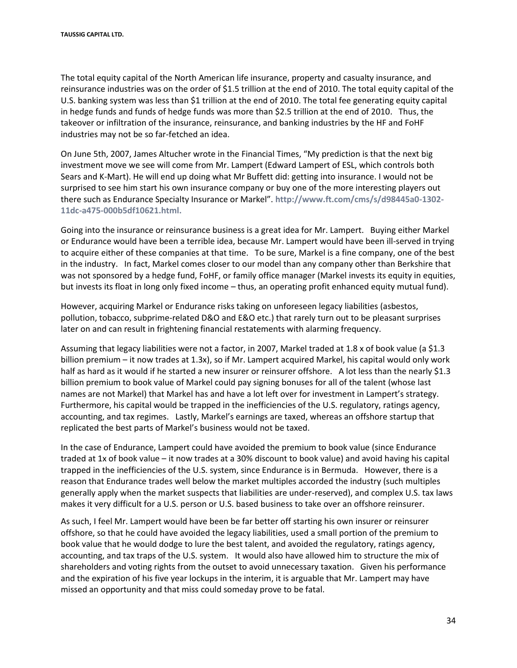The total equity capital of the North American life insurance, property and casualty insurance, and reinsurance industries was on the order of \$1.5 trillion at the end of 2010. The total equity capital of the U.S. banking system was less than \$1 trillion at the end of 2010. The total fee generating equity capital in hedge funds and funds of hedge funds was more than \$2.5 trillion at the end of 2010. Thus, the takeover or infiltration of the insurance, reinsurance, and banking industries by the HF and FoHF industries may not be so far-fetched an idea.

On June 5th, 2007, James Altucher wrote in the Financial Times, "My prediction is that the next big investment move we see will come from Mr. Lampert (Edward Lampert of ESL, which controls both Sears and K-Mart). He will end up doing what Mr Buffett did: getting into insurance. I would not be surprised to see him start his own insurance company or buy one of the more interesting players out there such as Endurance Specialty Insurance or Markel". **[http://www.ft.com/cms/s/d98445a0-1302-](http://www.ft.com/cms/s/d98445a0-1302-11dc-a475-000b5df10621.html.) [11dc-a475-000b5df10621.html.](http://www.ft.com/cms/s/d98445a0-1302-11dc-a475-000b5df10621.html.)**

Going into the insurance or reinsurance business is a great idea for Mr. Lampert. Buying either Markel or Endurance would have been a terrible idea, because Mr. Lampert would have been ill-served in trying to acquire either of these companies at that time. To be sure, Markel is a fine company, one of the best in the industry. In fact, Markel comes closer to our model than any company other than Berkshire that was not sponsored by a hedge fund, FoHF, or family office manager (Markel invests its equity in equities, but invests its float in long only fixed income – thus, an operating profit enhanced equity mutual fund).

However, acquiring Markel or Endurance risks taking on unforeseen legacy liabilities (asbestos, pollution, tobacco, subprime-related D&O and E&O etc.) that rarely turn out to be pleasant surprises later on and can result in frightening financial restatements with alarming frequency.

Assuming that legacy liabilities were not a factor, in 2007, Markel traded at 1.8 x of book value (a \$1.3 billion premium – it now trades at 1.3x), so if Mr. Lampert acquired Markel, his capital would only work half as hard as it would if he started a new insurer or reinsurer offshore. A lot less than the nearly \$1.3 billion premium to book value of Markel could pay signing bonuses for all of the talent (whose last names are not Markel) that Markel has and have a lot left over for investment in Lampert's strategy. Furthermore, his capital would be trapped in the inefficiencies of the U.S. regulatory, ratings agency, accounting, and tax regimes. Lastly, Markel's earnings are taxed, whereas an offshore startup that replicated the best parts of Markel's business would not be taxed.

In the case of Endurance, Lampert could have avoided the premium to book value (since Endurance traded at 1x of book value – it now trades at a 30% discount to book value) and avoid having his capital trapped in the inefficiencies of the U.S. system, since Endurance is in Bermuda. However, there is a reason that Endurance trades well below the market multiples accorded the industry (such multiples generally apply when the market suspects that liabilities are under-reserved), and complex U.S. tax laws makes it very difficult for a U.S. person or U.S. based business to take over an offshore reinsurer.

As such, I feel Mr. Lampert would have been be far better off starting his own insurer or reinsurer offshore, so that he could have avoided the legacy liabilities, used a small portion of the premium to book value that he would dodge to lure the best talent, and avoided the regulatory, ratings agency, accounting, and tax traps of the U.S. system. It would also have allowed him to structure the mix of shareholders and voting rights from the outset to avoid unnecessary taxation. Given his performance and the expiration of his five year lockups in the interim, it is arguable that Mr. Lampert may have missed an opportunity and that miss could someday prove to be fatal.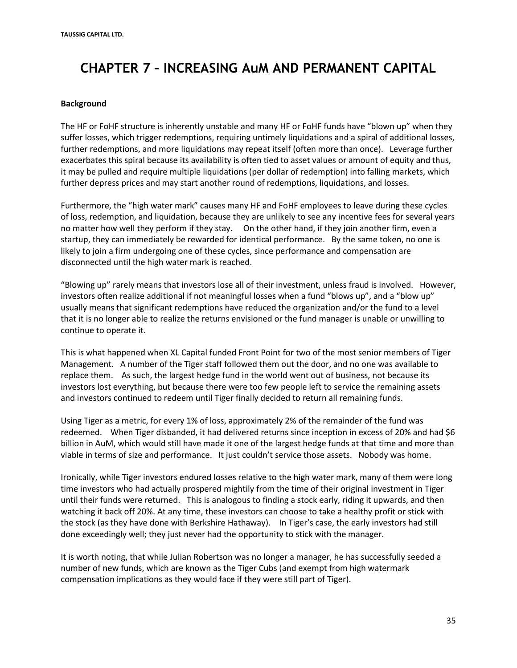## **CHAPTER 7 – INCREASING AuM AND PERMANENT CAPITAL**

#### **Background**

The HF or FoHF structure is inherently unstable and many HF or FoHF funds have "blown up" when they suffer losses, which trigger redemptions, requiring untimely liquidations and a spiral of additional losses, further redemptions, and more liquidations may repeat itself (often more than once). Leverage further exacerbates this spiral because its availability is often tied to asset values or amount of equity and thus, it may be pulled and require multiple liquidations (per dollar of redemption) into falling markets, which further depress prices and may start another round of redemptions, liquidations, and losses.

Furthermore, the "high water mark" causes many HF and FoHF employees to leave during these cycles of loss, redemption, and liquidation, because they are unlikely to see any incentive fees for several years no matter how well they perform if they stay. On the other hand, if they join another firm, even a startup, they can immediately be rewarded for identical performance. By the same token, no one is likely to join a firm undergoing one of these cycles, since performance and compensation are disconnected until the high water mark is reached.

"Blowing up" rarely means that investors lose all of their investment, unless fraud is involved. However, investors often realize additional if not meaningful losses when a fund "blows up", and a "blow up" usually means that significant redemptions have reduced the organization and/or the fund to a level that it is no longer able to realize the returns envisioned or the fund manager is unable or unwilling to continue to operate it.

This is what happened when XL Capital funded Front Point for two of the most senior members of Tiger Management. A number of the Tiger staff followed them out the door, and no one was available to replace them. As such, the largest hedge fund in the world went out of business, not because its investors lost everything, but because there were too few people left to service the remaining assets and investors continued to redeem until Tiger finally decided to return all remaining funds.

Using Tiger as a metric, for every 1% of loss, approximately 2% of the remainder of the fund was redeemed. When Tiger disbanded, it had delivered returns since inception in excess of 20% and had \$6 billion in AuM, which would still have made it one of the largest hedge funds at that time and more than viable in terms of size and performance. It just couldn't service those assets. Nobody was home.

Ironically, while Tiger investors endured losses relative to the high water mark, many of them were long time investors who had actually prospered mightily from the time of their original investment in Tiger until their funds were returned. This is analogous to finding a stock early, riding it upwards, and then watching it back off 20%. At any time, these investors can choose to take a healthy profit or stick with the stock (as they have done with Berkshire Hathaway). In Tiger's case, the early investors had still done exceedingly well; they just never had the opportunity to stick with the manager.

It is worth noting, that while Julian Robertson was no longer a manager, he has successfully seeded a number of new funds, which are known as the Tiger Cubs (and exempt from high watermark compensation implications as they would face if they were still part of Tiger).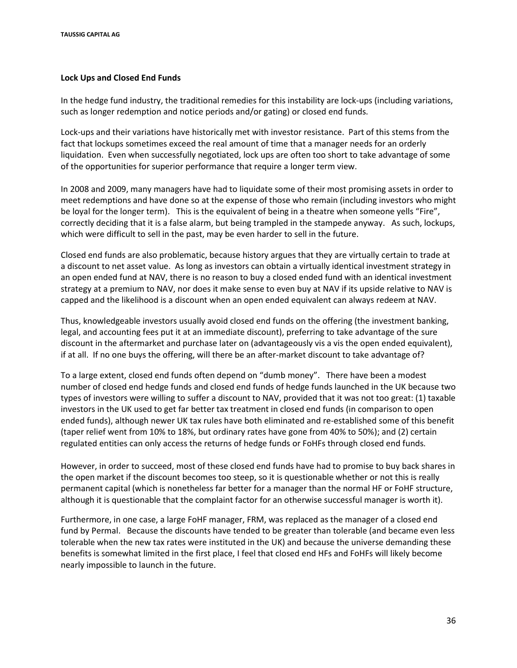#### **Lock Ups and Closed End Funds**

In the hedge fund industry, the traditional remedies for this instability are lock-ups (including variations, such as longer redemption and notice periods and/or gating) or closed end funds.

Lock-ups and their variations have historically met with investor resistance. Part of this stems from the fact that lockups sometimes exceed the real amount of time that a manager needs for an orderly liquidation. Even when successfully negotiated, lock ups are often too short to take advantage of some of the opportunities for superior performance that require a longer term view.

In 2008 and 2009, many managers have had to liquidate some of their most promising assets in order to meet redemptions and have done so at the expense of those who remain (including investors who might be loyal for the longer term). This is the equivalent of being in a theatre when someone yells "Fire", correctly deciding that it is a false alarm, but being trampled in the stampede anyway. As such, lockups, which were difficult to sell in the past, may be even harder to sell in the future.

Closed end funds are also problematic, because history argues that they are virtually certain to trade at a discount to net asset value. As long as investors can obtain a virtually identical investment strategy in an open ended fund at NAV, there is no reason to buy a closed ended fund with an identical investment strategy at a premium to NAV, nor does it make sense to even buy at NAV if its upside relative to NAV is capped and the likelihood is a discount when an open ended equivalent can always redeem at NAV.

Thus, knowledgeable investors usually avoid closed end funds on the offering (the investment banking, legal, and accounting fees put it at an immediate discount), preferring to take advantage of the sure discount in the aftermarket and purchase later on (advantageously vis a vis the open ended equivalent), if at all. If no one buys the offering, will there be an after-market discount to take advantage of?

To a large extent, closed end funds often depend on "dumb money". There have been a modest number of closed end hedge funds and closed end funds of hedge funds launched in the UK because two types of investors were willing to suffer a discount to NAV, provided that it was not too great: (1) taxable investors in the UK used to get far better tax treatment in closed end funds (in comparison to open ended funds), although newer UK tax rules have both eliminated and re-established some of this benefit (taper relief went from 10% to 18%, but ordinary rates have gone from 40% to 50%); and (2) certain regulated entities can only access the returns of hedge funds or FoHFs through closed end funds**.** 

However, in order to succeed, most of these closed end funds have had to promise to buy back shares in the open market if the discount becomes too steep, so it is questionable whether or not this is really permanent capital (which is nonetheless far better for a manager than the normal HF or FoHF structure, although it is questionable that the complaint factor for an otherwise successful manager is worth it).

Furthermore, in one case, a large FoHF manager, FRM, was replaced as the manager of a closed end fund by Permal. Because the discounts have tended to be greater than tolerable (and became even less tolerable when the new tax rates were instituted in the UK) and because the universe demanding these benefits is somewhat limited in the first place, I feel that closed end HFs and FoHFs will likely become nearly impossible to launch in the future.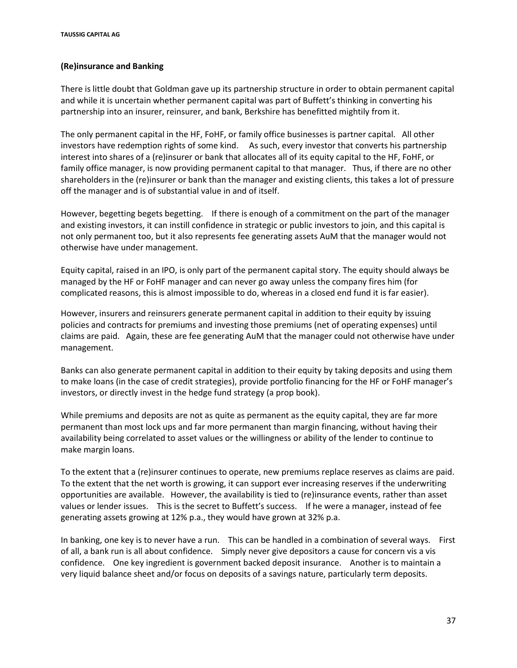#### **(Re)insurance and Banking**

There is little doubt that Goldman gave up its partnership structure in order to obtain permanent capital and while it is uncertain whether permanent capital was part of Buffett's thinking in converting his partnership into an insurer, reinsurer, and bank, Berkshire has benefitted mightily from it.

The only permanent capital in the HF, FoHF, or family office businesses is partner capital. All other investors have redemption rights of some kind. As such, every investor that converts his partnership interest into shares of a (re)insurer or bank that allocates all of its equity capital to the HF, FoHF, or family office manager, is now providing permanent capital to that manager. Thus, if there are no other shareholders in the (re)insurer or bank than the manager and existing clients, this takes a lot of pressure off the manager and is of substantial value in and of itself.

However, begetting begets begetting. If there is enough of a commitment on the part of the manager and existing investors, it can instill confidence in strategic or public investors to join, and this capital is not only permanent too, but it also represents fee generating assets AuM that the manager would not otherwise have under management.

Equity capital, raised in an IPO, is only part of the permanent capital story. The equity should always be managed by the HF or FoHF manager and can never go away unless the company fires him (for complicated reasons, this is almost impossible to do, whereas in a closed end fund it is far easier).

However, insurers and reinsurers generate permanent capital in addition to their equity by issuing policies and contracts for premiums and investing those premiums (net of operating expenses) until claims are paid. Again, these are fee generating AuM that the manager could not otherwise have under management.

Banks can also generate permanent capital in addition to their equity by taking deposits and using them to make loans (in the case of credit strategies), provide portfolio financing for the HF or FoHF manager's investors, or directly invest in the hedge fund strategy (a prop book).

While premiums and deposits are not as quite as permanent as the equity capital, they are far more permanent than most lock ups and far more permanent than margin financing, without having their availability being correlated to asset values or the willingness or ability of the lender to continue to make margin loans.

To the extent that a (re)insurer continues to operate, new premiums replace reserves as claims are paid. To the extent that the net worth is growing, it can support ever increasing reserves if the underwriting opportunities are available. However, the availability is tied to (re)insurance events, rather than asset values or lender issues. This is the secret to Buffett's success. If he were a manager, instead of fee generating assets growing at 12% p.a., they would have grown at 32% p.a.

In banking, one key is to never have a run. This can be handled in a combination of several ways. First of all, a bank run is all about confidence. Simply never give depositors a cause for concern vis a vis confidence. One key ingredient is government backed deposit insurance. Another is to maintain a very liquid balance sheet and/or focus on deposits of a savings nature, particularly term deposits.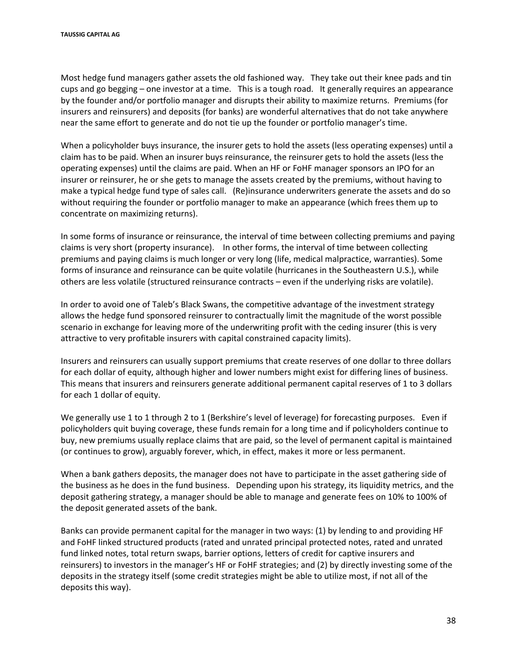Most hedge fund managers gather assets the old fashioned way. They take out their knee pads and tin cups and go begging – one investor at a time. This is a tough road. It generally requires an appearance by the founder and/or portfolio manager and disrupts their ability to maximize returns. Premiums (for insurers and reinsurers) and deposits (for banks) are wonderful alternatives that do not take anywhere near the same effort to generate and do not tie up the founder or portfolio manager's time.

When a policyholder buys insurance, the insurer gets to hold the assets (less operating expenses) until a claim has to be paid. When an insurer buys reinsurance, the reinsurer gets to hold the assets (less the operating expenses) until the claims are paid. When an HF or FoHF manager sponsors an IPO for an insurer or reinsurer, he or she gets to manage the assets created by the premiums, without having to make a typical hedge fund type of sales call. (Re)insurance underwriters generate the assets and do so without requiring the founder or portfolio manager to make an appearance (which frees them up to concentrate on maximizing returns).

In some forms of insurance or reinsurance, the interval of time between collecting premiums and paying claims is very short (property insurance). In other forms, the interval of time between collecting premiums and paying claims is much longer or very long (life, medical malpractice, warranties). Some forms of insurance and reinsurance can be quite volatile (hurricanes in the Southeastern U.S.), while others are less volatile (structured reinsurance contracts – even if the underlying risks are volatile).

In order to avoid one of Taleb's Black Swans, the competitive advantage of the investment strategy allows the hedge fund sponsored reinsurer to contractually limit the magnitude of the worst possible scenario in exchange for leaving more of the underwriting profit with the ceding insurer (this is very attractive to very profitable insurers with capital constrained capacity limits).

Insurers and reinsurers can usually support premiums that create reserves of one dollar to three dollars for each dollar of equity, although higher and lower numbers might exist for differing lines of business. This means that insurers and reinsurers generate additional permanent capital reserves of 1 to 3 dollars for each 1 dollar of equity.

We generally use 1 to 1 through 2 to 1 (Berkshire's level of leverage) for forecasting purposes. Even if policyholders quit buying coverage, these funds remain for a long time and if policyholders continue to buy, new premiums usually replace claims that are paid, so the level of permanent capital is maintained (or continues to grow), arguably forever, which, in effect, makes it more or less permanent.

When a bank gathers deposits, the manager does not have to participate in the asset gathering side of the business as he does in the fund business. Depending upon his strategy, its liquidity metrics, and the deposit gathering strategy, a manager should be able to manage and generate fees on 10% to 100% of the deposit generated assets of the bank.

Banks can provide permanent capital for the manager in two ways: (1) by lending to and providing HF and FoHF linked structured products (rated and unrated principal protected notes, rated and unrated fund linked notes, total return swaps, barrier options, letters of credit for captive insurers and reinsurers) to investors in the manager's HF or FoHF strategies; and (2) by directly investing some of the deposits in the strategy itself (some credit strategies might be able to utilize most, if not all of the deposits this way).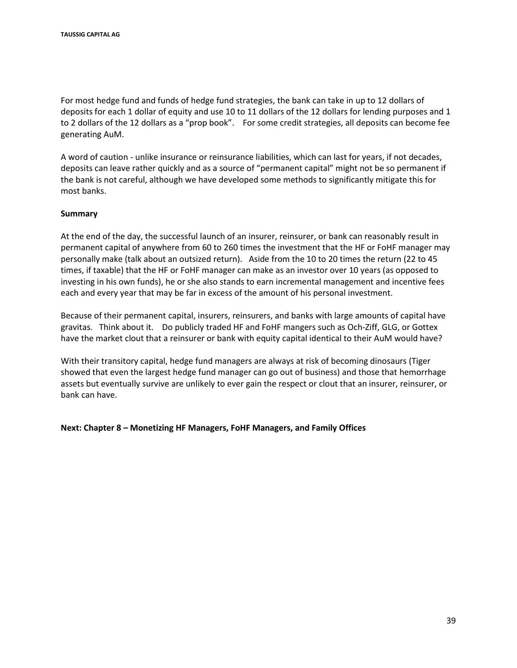For most hedge fund and funds of hedge fund strategies, the bank can take in up to 12 dollars of deposits for each 1 dollar of equity and use 10 to 11 dollars of the 12 dollars for lending purposes and 1 to 2 dollars of the 12 dollars as a "prop book". For some credit strategies, all deposits can become fee generating AuM.

A word of caution - unlike insurance or reinsurance liabilities, which can last for years, if not decades, deposits can leave rather quickly and as a source of "permanent capital" might not be so permanent if the bank is not careful, although we have developed some methods to significantly mitigate this for most banks.

#### **Summary**

At the end of the day, the successful launch of an insurer, reinsurer, or bank can reasonably result in permanent capital of anywhere from 60 to 260 times the investment that the HF or FoHF manager may personally make (talk about an outsized return). Aside from the 10 to 20 times the return (22 to 45 times, if taxable) that the HF or FoHF manager can make as an investor over 10 years (as opposed to investing in his own funds), he or she also stands to earn incremental management and incentive fees each and every year that may be far in excess of the amount of his personal investment.

Because of their permanent capital, insurers, reinsurers, and banks with large amounts of capital have gravitas. Think about it. Do publicly traded HF and FoHF mangers such as Och-Ziff, GLG, or Gottex have the market clout that a reinsurer or bank with equity capital identical to their AuM would have?

With their transitory capital, hedge fund managers are always at risk of becoming dinosaurs (Tiger showed that even the largest hedge fund manager can go out of business) and those that hemorrhage assets but eventually survive are unlikely to ever gain the respect or clout that an insurer, reinsurer, or bank can have.

**Next: Chapter 8 – Monetizing HF Managers, FoHF Managers, and Family Offices**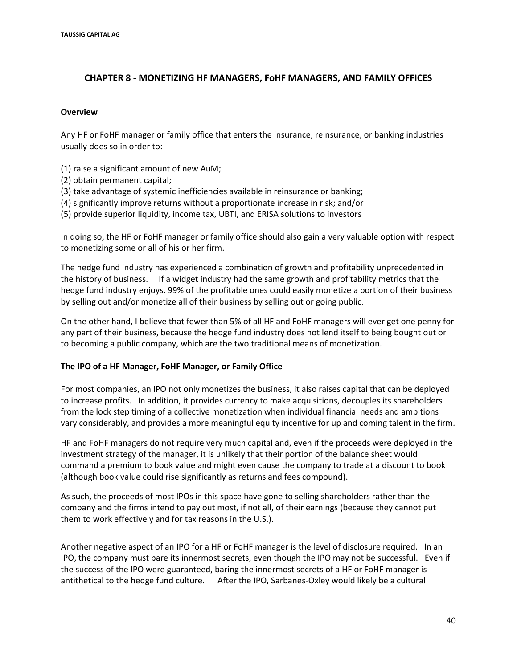#### **CHAPTER 8 - MONETIZING HF MANAGERS, FoHF MANAGERS, AND FAMILY OFFICES**

#### **Overview**

Any HF or FoHF manager or family office that enters the insurance, reinsurance, or banking industries usually does so in order to:

(1) raise a significant amount of new AuM;

- (2) obtain permanent capital;
- (3) take advantage of systemic inefficiencies available in reinsurance or banking;
- (4) significantly improve returns without a proportionate increase in risk; and/or
- (5) provide superior liquidity, income tax, UBTI, and ERISA solutions to investors

In doing so, the HF or FoHF manager or family office should also gain a very valuable option with respect to monetizing some or all of his or her firm.

The hedge fund industry has experienced a combination of growth and profitability unprecedented in the history of business. If a widget industry had the same growth and profitability metrics that the hedge fund industry enjoys, 99% of the profitable ones could easily monetize a portion of their business by selling out and/or monetize all of their business by selling out or going public.

On the other hand, I believe that fewer than 5% of all HF and FoHF managers will ever get one penny for any part of their business, because the hedge fund industry does not lend itself to being bought out or to becoming a public company, which are the two traditional means of monetization.

#### **The IPO of a HF Manager, FoHF Manager, or Family Office**

For most companies, an IPO not only monetizes the business, it also raises capital that can be deployed to increase profits. In addition, it provides currency to make acquisitions, decouples its shareholders from the lock step timing of a collective monetization when individual financial needs and ambitions vary considerably, and provides a more meaningful equity incentive for up and coming talent in the firm.

HF and FoHF managers do not require very much capital and, even if the proceeds were deployed in the investment strategy of the manager, it is unlikely that their portion of the balance sheet would command a premium to book value and might even cause the company to trade at a discount to book (although book value could rise significantly as returns and fees compound).

As such, the proceeds of most IPOs in this space have gone to selling shareholders rather than the company and the firms intend to pay out most, if not all, of their earnings (because they cannot put them to work effectively and for tax reasons in the U.S.).

Another negative aspect of an IPO for a HF or FoHF manager is the level of disclosure required. In an IPO, the company must bare its innermost secrets, even though the IPO may not be successful. Even if the success of the IPO were guaranteed, baring the innermost secrets of a HF or FoHF manager is antithetical to the hedge fund culture. After the IPO, Sarbanes-Oxley would likely be a cultural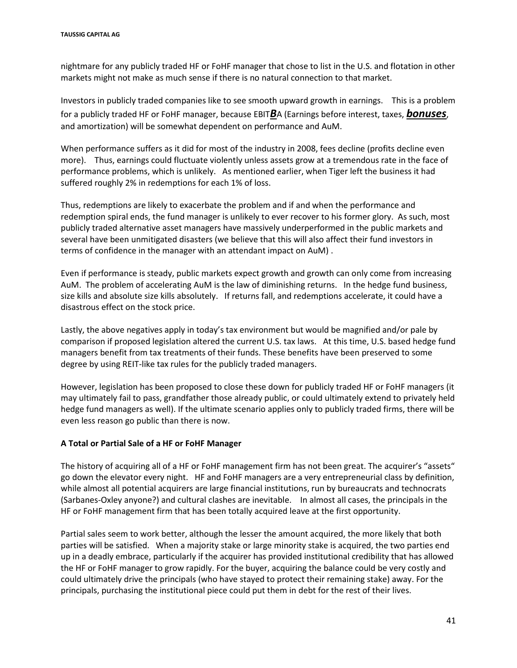nightmare for any publicly traded HF or FoHF manager that chose to list in the U.S. and flotation in other markets might not make as much sense if there is no natural connection to that market.

Investors in publicly traded companies like to see smooth upward growth in earnings. This is a problem for a publicly traded HF or FoHF manager, because EBIT*B*A (Earnings before interest, taxes, *bonuses*, and amortization) will be somewhat dependent on performance and AuM.

When performance suffers as it did for most of the industry in 2008, fees decline (profits decline even more). Thus, earnings could fluctuate violently unless assets grow at a tremendous rate in the face of performance problems, which is unlikely. As mentioned earlier, when Tiger left the business it had suffered roughly 2% in redemptions for each 1% of loss.

Thus, redemptions are likely to exacerbate the problem and if and when the performance and redemption spiral ends, the fund manager is unlikely to ever recover to his former glory. As such, most publicly traded alternative asset managers have massively underperformed in the public markets and several have been unmitigated disasters (we believe that this will also affect their fund investors in terms of confidence in the manager with an attendant impact on AuM) .

Even if performance is steady, public markets expect growth and growth can only come from increasing AuM. The problem of accelerating AuM is the law of diminishing returns. In the hedge fund business, size kills and absolute size kills absolutely. If returns fall, and redemptions accelerate, it could have a disastrous effect on the stock price.

Lastly, the above negatives apply in today's tax environment but would be magnified and/or pale by comparison if proposed legislation altered the current U.S. tax laws. At this time, U.S. based hedge fund managers benefit from tax treatments of their funds. These benefits have been preserved to some degree by using REIT-like tax rules for the publicly traded managers.

However, legislation has been proposed to close these down for publicly traded HF or FoHF managers (it may ultimately fail to pass, grandfather those already public, or could ultimately extend to privately held hedge fund managers as well). If the ultimate scenario applies only to publicly traded firms, there will be even less reason go public than there is now.

#### **A Total or Partial Sale of a HF or FoHF Manager**

The history of acquiring all of a HF or FoHF management firm has not been great. The acquirer's "assets" go down the elevator every night. HF and FoHF managers are a very entrepreneurial class by definition, while almost all potential acquirers are large financial institutions, run by bureaucrats and technocrats (Sarbanes-Oxley anyone?) and cultural clashes are inevitable. In almost all cases, the principals in the HF or FoHF management firm that has been totally acquired leave at the first opportunity.

Partial sales seem to work better, although the lesser the amount acquired, the more likely that both parties will be satisfied. When a majority stake or large minority stake is acquired, the two parties end up in a deadly embrace, particularly if the acquirer has provided institutional credibility that has allowed the HF or FoHF manager to grow rapidly. For the buyer, acquiring the balance could be very costly and could ultimately drive the principals (who have stayed to protect their remaining stake) away. For the principals, purchasing the institutional piece could put them in debt for the rest of their lives.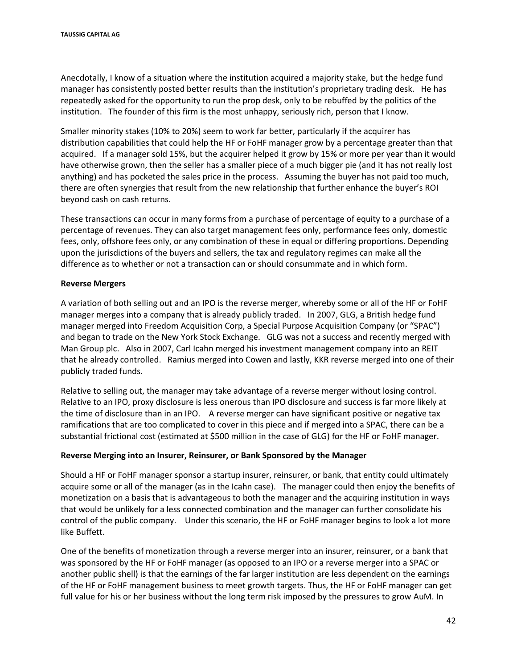Anecdotally, I know of a situation where the institution acquired a majority stake, but the hedge fund manager has consistently posted better results than the institution's proprietary trading desk. He has repeatedly asked for the opportunity to run the prop desk, only to be rebuffed by the politics of the institution. The founder of this firm is the most unhappy, seriously rich, person that I know.

Smaller minority stakes (10% to 20%) seem to work far better, particularly if the acquirer has distribution capabilities that could help the HF or FoHF manager grow by a percentage greater than that acquired. If a manager sold 15%, but the acquirer helped it grow by 15% or more per year than it would have otherwise grown, then the seller has a smaller piece of a much bigger pie (and it has not really lost anything) and has pocketed the sales price in the process. Assuming the buyer has not paid too much, there are often synergies that result from the new relationship that further enhance the buyer's ROI beyond cash on cash returns.

These transactions can occur in many forms from a purchase of percentage of equity to a purchase of a percentage of revenues. They can also target management fees only, performance fees only, domestic fees, only, offshore fees only, or any combination of these in equal or differing proportions. Depending upon the jurisdictions of the buyers and sellers, the tax and regulatory regimes can make all the difference as to whether or not a transaction can or should consummate and in which form.

#### **Reverse Mergers**

A variation of both selling out and an IPO is the reverse merger, whereby some or all of the HF or FoHF manager merges into a company that is already publicly traded. In 2007, GLG, a British hedge fund manager merged into Freedom Acquisition Corp, a Special Purpose Acquisition Company (or "SPAC") and began to trade on the New York Stock Exchange. GLG was not a success and recently merged with Man Group plc. Also in 2007, Carl Icahn merged his investment management company into an REIT that he already controlled. Ramius merged into Cowen and lastly, KKR reverse merged into one of their publicly traded funds.

Relative to selling out, the manager may take advantage of a reverse merger without losing control. Relative to an IPO, proxy disclosure is less onerous than IPO disclosure and success is far more likely at the time of disclosure than in an IPO. A reverse merger can have significant positive or negative tax ramifications that are too complicated to cover in this piece and if merged into a SPAC, there can be a substantial frictional cost (estimated at \$500 million in the case of GLG) for the HF or FoHF manager.

#### **Reverse Merging into an Insurer, Reinsurer, or Bank Sponsored by the Manager**

Should a HF or FoHF manager sponsor a startup insurer, reinsurer, or bank, that entity could ultimately acquire some or all of the manager (as in the Icahn case). The manager could then enjoy the benefits of monetization on a basis that is advantageous to both the manager and the acquiring institution in ways that would be unlikely for a less connected combination and the manager can further consolidate his control of the public company. Under this scenario, the HF or FoHF manager begins to look a lot more like Buffett.

One of the benefits of monetization through a reverse merger into an insurer, reinsurer, or a bank that was sponsored by the HF or FoHF manager (as opposed to an IPO or a reverse merger into a SPAC or another public shell) is that the earnings of the far larger institution are less dependent on the earnings of the HF or FoHF management business to meet growth targets. Thus, the HF or FoHF manager can get full value for his or her business without the long term risk imposed by the pressures to grow AuM. In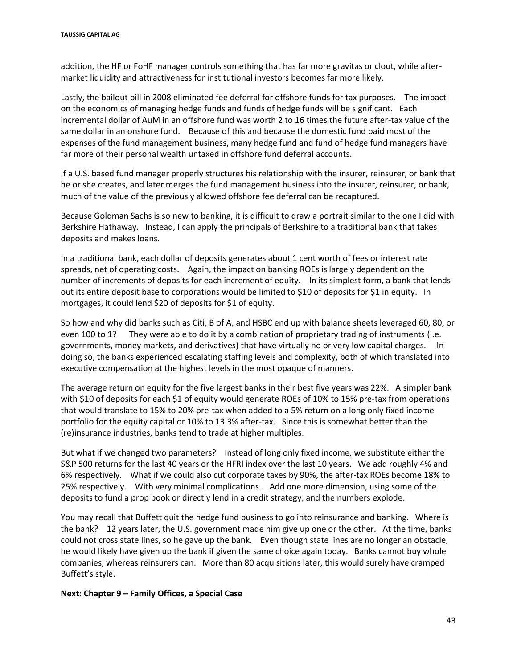addition, the HF or FoHF manager controls something that has far more gravitas or clout, while aftermarket liquidity and attractiveness for institutional investors becomes far more likely.

Lastly, the bailout bill in 2008 eliminated fee deferral for offshore funds for tax purposes. The impact on the economics of managing hedge funds and funds of hedge funds will be significant. Each incremental dollar of AuM in an offshore fund was worth 2 to 16 times the future after-tax value of the same dollar in an onshore fund. Because of this and because the domestic fund paid most of the expenses of the fund management business, many hedge fund and fund of hedge fund managers have far more of their personal wealth untaxed in offshore fund deferral accounts.

If a U.S. based fund manager properly structures his relationship with the insurer, reinsurer, or bank that he or she creates, and later merges the fund management business into the insurer, reinsurer, or bank, much of the value of the previously allowed offshore fee deferral can be recaptured.

Because Goldman Sachs is so new to banking, it is difficult to draw a portrait similar to the one I did with Berkshire Hathaway. Instead, I can apply the principals of Berkshire to a traditional bank that takes deposits and makes loans.

In a traditional bank, each dollar of deposits generates about 1 cent worth of fees or interest rate spreads, net of operating costs. Again, the impact on banking ROEs is largely dependent on the number of increments of deposits for each increment of equity. In its simplest form, a bank that lends out its entire deposit base to corporations would be limited to \$10 of deposits for \$1 in equity. In mortgages, it could lend \$20 of deposits for \$1 of equity.

So how and why did banks such as Citi, B of A, and HSBC end up with balance sheets leveraged 60, 80, or even 100 to 1? They were able to do it by a combination of proprietary trading of instruments (i.e. governments, money markets, and derivatives) that have virtually no or very low capital charges. In doing so, the banks experienced escalating staffing levels and complexity, both of which translated into executive compensation at the highest levels in the most opaque of manners.

The average return on equity for the five largest banks in their best five years was 22%. A simpler bank with \$10 of deposits for each \$1 of equity would generate ROEs of 10% to 15% pre-tax from operations that would translate to 15% to 20% pre-tax when added to a 5% return on a long only fixed income portfolio for the equity capital or 10% to 13.3% after-tax. Since this is somewhat better than the (re)insurance industries, banks tend to trade at higher multiples.

But what if we changed two parameters? Instead of long only fixed income, we substitute either the S&P 500 returns for the last 40 years or the HFRI index over the last 10 years. We add roughly 4% and 6% respectively. What if we could also cut corporate taxes by 90%, the after-tax ROEs become 18% to 25% respectively. With very minimal complications. Add one more dimension, using some of the deposits to fund a prop book or directly lend in a credit strategy, and the numbers explode.

You may recall that Buffett quit the hedge fund business to go into reinsurance and banking. Where is the bank? 12 years later, the U.S. government made him give up one or the other. At the time, banks could not cross state lines, so he gave up the bank. Even though state lines are no longer an obstacle, he would likely have given up the bank if given the same choice again today. Banks cannot buy whole companies, whereas reinsurers can. More than 80 acquisitions later, this would surely have cramped Buffett's style.

**Next: Chapter 9 – Family Offices, a Special Case**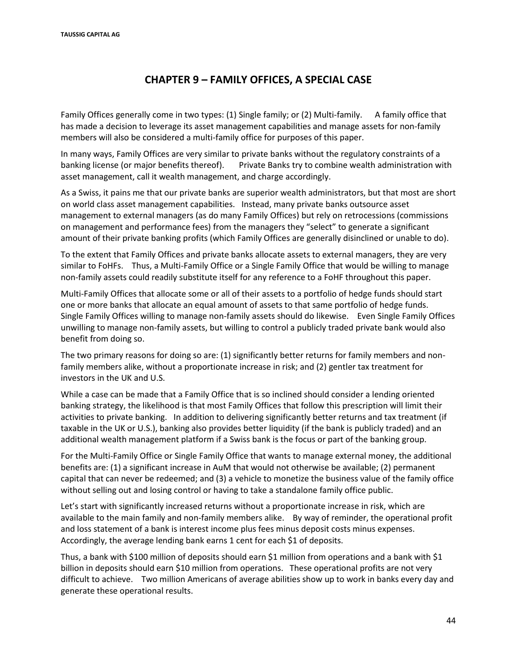## **CHAPTER 9 – FAMILY OFFICES, A SPECIAL CASE**

Family Offices generally come in two types: (1) Single family; or (2) Multi-family. A family office that has made a decision to leverage its asset management capabilities and manage assets for non-family members will also be considered a multi-family office for purposes of this paper.

In many ways, Family Offices are very similar to private banks without the regulatory constraints of a banking license (or major benefits thereof). Private Banks try to combine wealth administration with asset management, call it wealth management, and charge accordingly.

As a Swiss, it pains me that our private banks are superior wealth administrators, but that most are short on world class asset management capabilities. Instead, many private banks outsource asset management to external managers (as do many Family Offices) but rely on retrocessions (commissions on management and performance fees) from the managers they "select" to generate a significant amount of their private banking profits (which Family Offices are generally disinclined or unable to do).

To the extent that Family Offices and private banks allocate assets to external managers, they are very similar to FoHFs. Thus, a Multi-Family Office or a Single Family Office that would be willing to manage non-family assets could readily substitute itself for any reference to a FoHF throughout this paper.

Multi-Family Offices that allocate some or all of their assets to a portfolio of hedge funds should start one or more banks that allocate an equal amount of assets to that same portfolio of hedge funds. Single Family Offices willing to manage non-family assets should do likewise. Even Single Family Offices unwilling to manage non-family assets, but willing to control a publicly traded private bank would also benefit from doing so.

The two primary reasons for doing so are: (1) significantly better returns for family members and nonfamily members alike, without a proportionate increase in risk; and (2) gentler tax treatment for investors in the UK and U.S.

While a case can be made that a Family Office that is so inclined should consider a lending oriented banking strategy, the likelihood is that most Family Offices that follow this prescription will limit their activities to private banking. In addition to delivering significantly better returns and tax treatment (if taxable in the UK or U.S.), banking also provides better liquidity (if the bank is publicly traded) and an additional wealth management platform if a Swiss bank is the focus or part of the banking group.

For the Multi-Family Office or Single Family Office that wants to manage external money, the additional benefits are: (1) a significant increase in AuM that would not otherwise be available; (2) permanent capital that can never be redeemed; and (3) a vehicle to monetize the business value of the family office without selling out and losing control or having to take a standalone family office public.

Let's start with significantly increased returns without a proportionate increase in risk, which are available to the main family and non-family members alike. By way of reminder, the operational profit and loss statement of a bank is interest income plus fees minus deposit costs minus expenses. Accordingly, the average lending bank earns 1 cent for each \$1 of deposits.

Thus, a bank with \$100 million of deposits should earn \$1 million from operations and a bank with \$1 billion in deposits should earn \$10 million from operations. These operational profits are not very difficult to achieve. Two million Americans of average abilities show up to work in banks every day and generate these operational results.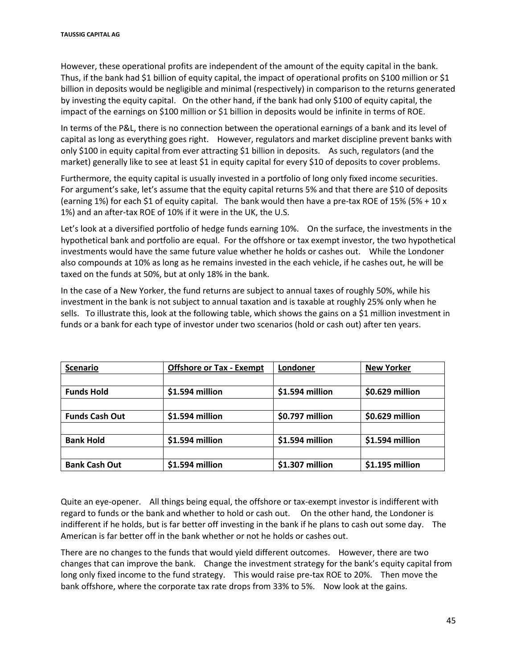However, these operational profits are independent of the amount of the equity capital in the bank. Thus, if the bank had \$1 billion of equity capital, the impact of operational profits on \$100 million or \$1 billion in deposits would be negligible and minimal (respectively) in comparison to the returns generated by investing the equity capital. On the other hand, if the bank had only \$100 of equity capital, the impact of the earnings on \$100 million or \$1 billion in deposits would be infinite in terms of ROE.

In terms of the P&L, there is no connection between the operational earnings of a bank and its level of capital as long as everything goes right. However, regulators and market discipline prevent banks with only \$100 in equity capital from ever attracting \$1 billion in deposits. As such, regulators (and the market) generally like to see at least \$1 in equity capital for every \$10 of deposits to cover problems.

Furthermore, the equity capital is usually invested in a portfolio of long only fixed income securities. For argument's sake, let's assume that the equity capital returns 5% and that there are \$10 of deposits (earning 1%) for each \$1 of equity capital. The bank would then have a pre-tax ROE of 15% (5% + 10 x 1%) and an after-tax ROE of 10% if it were in the UK, the U.S.

Let's look at a diversified portfolio of hedge funds earning 10%. On the surface, the investments in the hypothetical bank and portfolio are equal. For the offshore or tax exempt investor, the two hypothetical investments would have the same future value whether he holds or cashes out. While the Londoner also compounds at 10% as long as he remains invested in the each vehicle, if he cashes out, he will be taxed on the funds at 50%, but at only 18% in the bank.

In the case of a New Yorker, the fund returns are subject to annual taxes of roughly 50%, while his investment in the bank is not subject to annual taxation and is taxable at roughly 25% only when he sells. To illustrate this, look at the following table, which shows the gains on a \$1 million investment in funds or a bank for each type of investor under two scenarios (hold or cash out) after ten years.

| <b>Scenario</b>       | <b>Offshore or Tax - Exempt</b> | Londoner        | <b>New Yorker</b> |
|-----------------------|---------------------------------|-----------------|-------------------|
|                       |                                 |                 |                   |
| <b>Funds Hold</b>     | \$1.594 million                 | \$1.594 million | \$0.629 million   |
|                       |                                 |                 |                   |
| <b>Funds Cash Out</b> | \$1.594 million                 | \$0.797 million | \$0.629 million   |
|                       |                                 |                 |                   |
| <b>Bank Hold</b>      | \$1.594 million                 | \$1.594 million | \$1.594 million   |
|                       |                                 |                 |                   |
| <b>Bank Cash Out</b>  | \$1.594 million                 | \$1.307 million | \$1.195 million   |

Quite an eye-opener. All things being equal, the offshore or tax-exempt investor is indifferent with regard to funds or the bank and whether to hold or cash out. On the other hand, the Londoner is indifferent if he holds, but is far better off investing in the bank if he plans to cash out some day. The American is far better off in the bank whether or not he holds or cashes out.

There are no changes to the funds that would yield different outcomes. However, there are two changes that can improve the bank. Change the investment strategy for the bank's equity capital from long only fixed income to the fund strategy. This would raise pre-tax ROE to 20%. Then move the bank offshore, where the corporate tax rate drops from 33% to 5%. Now look at the gains.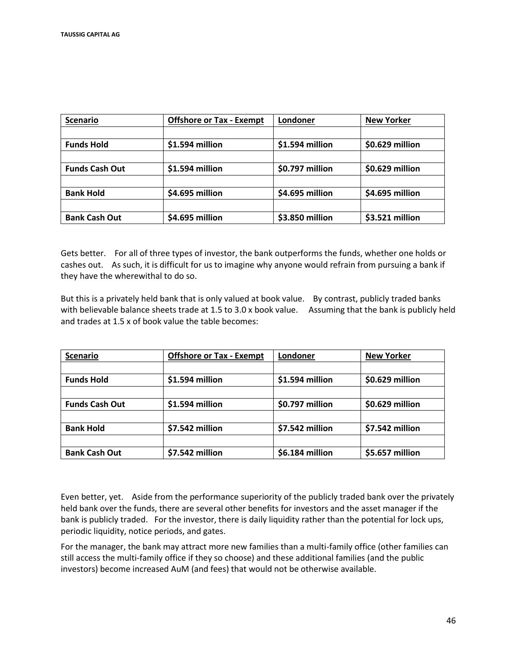| <b>Scenario</b>       | <b>Offshore or Tax - Exempt</b> | Londoner        | <b>New Yorker</b> |
|-----------------------|---------------------------------|-----------------|-------------------|
|                       |                                 |                 |                   |
| <b>Funds Hold</b>     | \$1.594 million                 | \$1.594 million | \$0.629 million   |
|                       |                                 |                 |                   |
| <b>Funds Cash Out</b> | \$1.594 million                 | \$0.797 million | \$0.629 million   |
|                       |                                 |                 |                   |
| <b>Bank Hold</b>      | \$4.695 million                 | \$4.695 million | \$4.695 million   |
|                       |                                 |                 |                   |
| <b>Bank Cash Out</b>  | \$4.695 million                 | \$3.850 million | \$3.521 million   |

Gets better. For all of three types of investor, the bank outperforms the funds, whether one holds or cashes out. As such, it is difficult for us to imagine why anyone would refrain from pursuing a bank if they have the wherewithal to do so.

But this is a privately held bank that is only valued at book value. By contrast, publicly traded banks with believable balance sheets trade at 1.5 to 3.0 x book value. Assuming that the bank is publicly held and trades at 1.5 x of book value the table becomes:

| <b>Scenario</b>       | <b>Offshore or Tax - Exempt</b> | Londoner        | <b>New Yorker</b> |
|-----------------------|---------------------------------|-----------------|-------------------|
|                       |                                 |                 |                   |
| <b>Funds Hold</b>     | \$1.594 million                 | \$1.594 million | \$0.629 million   |
|                       |                                 |                 |                   |
| <b>Funds Cash Out</b> | \$1.594 million                 | \$0.797 million | \$0.629 million   |
|                       |                                 |                 |                   |
| <b>Bank Hold</b>      | \$7.542 million                 | \$7.542 million | \$7.542 million   |
|                       |                                 |                 |                   |
| <b>Bank Cash Out</b>  | \$7.542 million                 | \$6.184 million | \$5.657 million   |

Even better, yet. Aside from the performance superiority of the publicly traded bank over the privately held bank over the funds, there are several other benefits for investors and the asset manager if the bank is publicly traded. For the investor, there is daily liquidity rather than the potential for lock ups, periodic liquidity, notice periods, and gates.

For the manager, the bank may attract more new families than a multi-family office (other families can still access the multi-family office if they so choose) and these additional families (and the public investors) become increased AuM (and fees) that would not be otherwise available.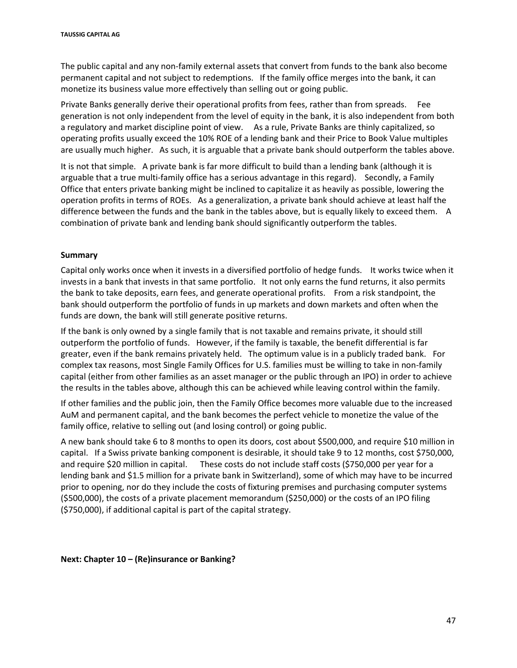The public capital and any non-family external assets that convert from funds to the bank also become permanent capital and not subject to redemptions. If the family office merges into the bank, it can monetize its business value more effectively than selling out or going public.

Private Banks generally derive their operational profits from fees, rather than from spreads. Fee generation is not only independent from the level of equity in the bank, it is also independent from both a regulatory and market discipline point of view. As a rule, Private Banks are thinly capitalized, so operating profits usually exceed the 10% ROE of a lending bank and their Price to Book Value multiples are usually much higher. As such, it is arguable that a private bank should outperform the tables above.

It is not that simple. A private bank is far more difficult to build than a lending bank (although it is arguable that a true multi-family office has a serious advantage in this regard). Secondly, a Family Office that enters private banking might be inclined to capitalize it as heavily as possible, lowering the operation profits in terms of ROEs. As a generalization, a private bank should achieve at least half the difference between the funds and the bank in the tables above, but is equally likely to exceed them. A combination of private bank and lending bank should significantly outperform the tables.

#### **Summary**

Capital only works once when it invests in a diversified portfolio of hedge funds. It works twice when it invests in a bank that invests in that same portfolio. It not only earns the fund returns, it also permits the bank to take deposits, earn fees, and generate operational profits. From a risk standpoint, the bank should outperform the portfolio of funds in up markets and down markets and often when the funds are down, the bank will still generate positive returns.

If the bank is only owned by a single family that is not taxable and remains private, it should still outperform the portfolio of funds. However, if the family is taxable, the benefit differential is far greater, even if the bank remains privately held. The optimum value is in a publicly traded bank. For complex tax reasons, most Single Family Offices for U.S. families must be willing to take in non-family capital (either from other families as an asset manager or the public through an IPO) in order to achieve the results in the tables above, although this can be achieved while leaving control within the family.

If other families and the public join, then the Family Office becomes more valuable due to the increased AuM and permanent capital, and the bank becomes the perfect vehicle to monetize the value of the family office, relative to selling out (and losing control) or going public.

A new bank should take 6 to 8 months to open its doors, cost about \$500,000, and require \$10 million in capital. If a Swiss private banking component is desirable, it should take 9 to 12 months, cost \$750,000, and require \$20 million in capital. These costs do not include staff costs (\$750,000 per year for a lending bank and \$1.5 million for a private bank in Switzerland), some of which may have to be incurred prior to opening, nor do they include the costs of fixturing premises and purchasing computer systems (\$500,000), the costs of a private placement memorandum (\$250,000) or the costs of an IPO filing (\$750,000), if additional capital is part of the capital strategy.

**Next: Chapter 10 – (Re)insurance or Banking?**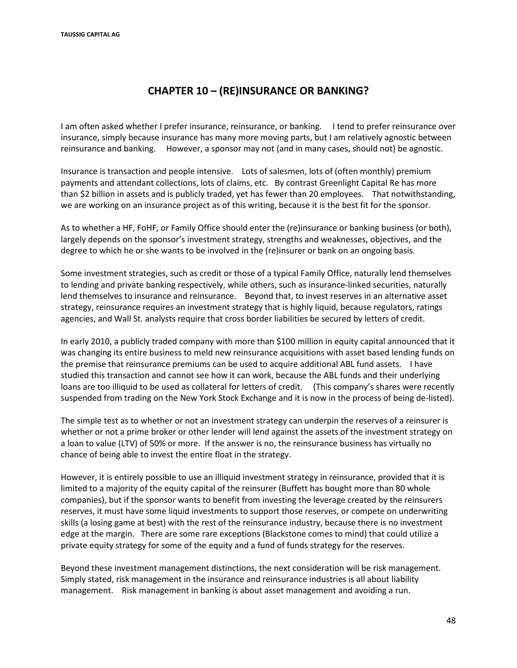## **CHAPTER 10 – (RE)INSURANCE OR BANKING?**

I am often asked whether I prefer insurance, reinsurance, or banking. I tend to prefer reinsurance over insurance, simply because insurance has many more moving parts, but I am relatively agnostic between reinsurance and banking. However, a sponsor may not (and in many cases, should not) be agnostic.

Insurance is transaction and people intensive. Lots of salesmen, lots of (often monthly) premium payments and attendant collections, lots of claims, etc. By contrast Greenlight Capital Re has more than \$2 billion in assets and is publicly traded, yet has fewer than 20 employees. That notwithstanding, we are working on an insurance project as of this writing, because it is the best fit for the sponsor.

As to whether a HF, FoHF, or Family Office should enter the (re)insurance or banking business (or both), largely depends on the sponsor's investment strategy, strengths and weaknesses, objectives, and the degree to which he or she wants to be involved in the (re)insurer or bank on an ongoing basis.

Some investment strategies, such as credit or those of a typical Family Office, naturally lend themselves to lending and private banking respectively, while others, such as insurance-linked securities, naturally lend themselves to insurance and reinsurance. Beyond that, to invest reserves in an alternative asset strategy, reinsurance requires an investment strategy that is highly liquid, because regulators, ratings agencies, and Wall St. analysts require that cross border liabilities be secured by letters of credit.

In early 2010, a publicly traded company with more than \$100 million in equity capital announced that it was changing its entire business to meld new reinsurance acquisitions with asset based lending funds on the premise that reinsurance premiums can be used to acquire additional ABL fund assets. I have studied this transaction and cannot see how it can work, because the ABL funds and their underlying loans are too illiquid to be used as collateral for letters of credit. (This company's shares were recently suspended from trading on the New York Stock Exchange and it is now in the process of being de-listed).

The simple test as to whether or not an investment strategy can underpin the reserves of a reinsurer is whether or not a prime broker or other lender will lend against the assets of the investment strategy on a loan to value (LTV) of 50% or more. If the answer is no, the reinsurance business has virtually no chance of being able to invest the entire float in the strategy.

However, it is entirely possible to use an illiquid investment strategy in reinsurance, provided that it is limited to a majority of the equity capital of the reinsurer (Buffett has bought more than 80 whole companies), but if the sponsor wants to benefit from investing the leverage created by the reinsurers reserves, it must have some liquid investments to support those reserves, or compete on underwriting skills (a losing game at best) with the rest of the reinsurance industry, because there is no investment edge at the margin. There are some rare exceptions (Blackstone comes to mind) that could utilize a private equity strategy for some of the equity and a fund of funds strategy for the reserves.

Beyond these investment management distinctions, the next consideration will be risk management. Simply stated, risk management in the insurance and reinsurance industries is all about liability management. Risk management in banking is about asset management and avoiding a run.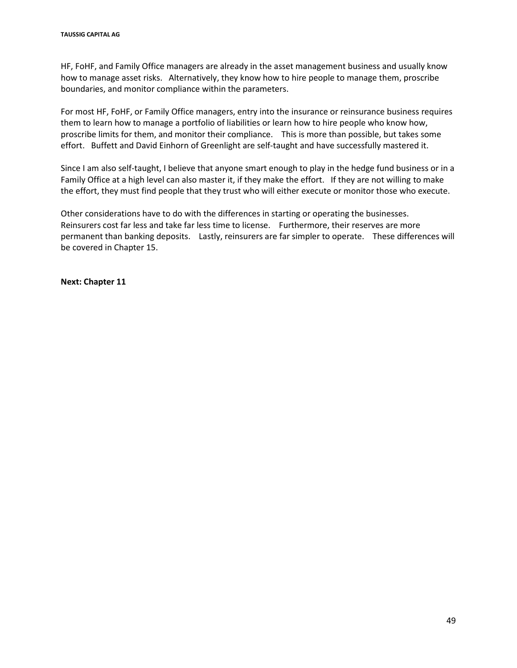HF, FoHF, and Family Office managers are already in the asset management business and usually know how to manage asset risks. Alternatively, they know how to hire people to manage them, proscribe boundaries, and monitor compliance within the parameters.

For most HF, FoHF, or Family Office managers, entry into the insurance or reinsurance business requires them to learn how to manage a portfolio of liabilities or learn how to hire people who know how, proscribe limits for them, and monitor their compliance. This is more than possible, but takes some effort. Buffett and David Einhorn of Greenlight are self-taught and have successfully mastered it.

Since I am also self-taught, I believe that anyone smart enough to play in the hedge fund business or in a Family Office at a high level can also master it, if they make the effort. If they are not willing to make the effort, they must find people that they trust who will either execute or monitor those who execute.

Other considerations have to do with the differences in starting or operating the businesses. Reinsurers cost far less and take far less time to license. Furthermore, their reserves are more permanent than banking deposits. Lastly, reinsurers are far simpler to operate. These differences will be covered in Chapter 15.

**Next: Chapter 11**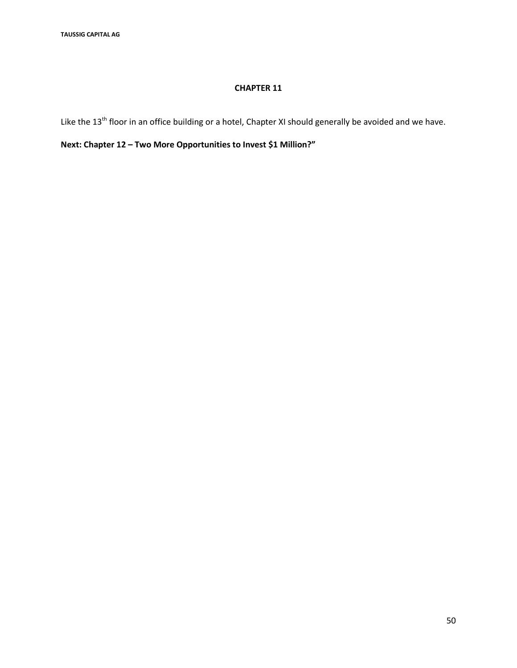#### **CHAPTER 11**

Like the 13<sup>th</sup> floor in an office building or a hotel, Chapter XI should generally be avoided and we have.

**Next: Chapter 12 – Two More Opportunities to Invest \$1 Million?"**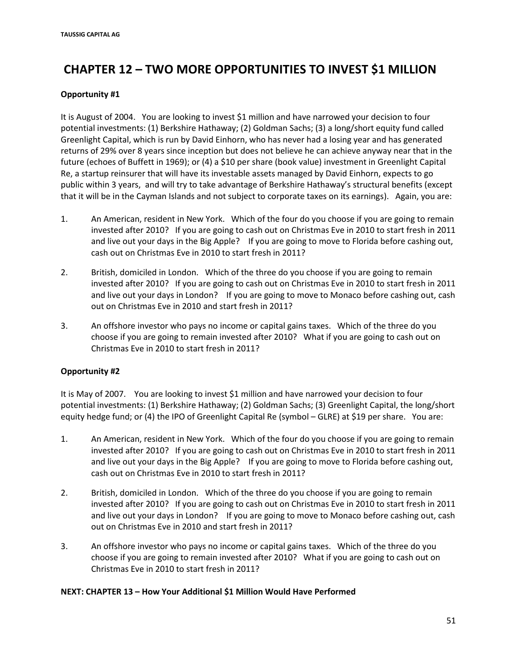## **CHAPTER 12 – TWO MORE OPPORTUNITIES TO INVEST \$1 MILLION**

#### **Opportunity #1**

It is August of 2004. You are looking to invest \$1 million and have narrowed your decision to four potential investments: (1) Berkshire Hathaway; (2) Goldman Sachs; (3) a long/short equity fund called Greenlight Capital, which is run by David Einhorn, who has never had a losing year and has generated returns of 29% over 8 years since inception but does not believe he can achieve anyway near that in the future (echoes of Buffett in 1969); or (4) a \$10 per share (book value) investment in Greenlight Capital Re, a startup reinsurer that will have its investable assets managed by David Einhorn, expects to go public within 3 years, and will try to take advantage of Berkshire Hathaway's structural benefits (except that it will be in the Cayman Islands and not subject to corporate taxes on its earnings). Again, you are:

- 1. An American, resident in New York. Which of the four do you choose if you are going to remain invested after 2010? If you are going to cash out on Christmas Eve in 2010 to start fresh in 2011 and live out your days in the Big Apple? If you are going to move to Florida before cashing out, cash out on Christmas Eve in 2010 to start fresh in 2011?
- 2. British, domiciled in London. Which of the three do you choose if you are going to remain invested after 2010? If you are going to cash out on Christmas Eve in 2010 to start fresh in 2011 and live out your days in London? If you are going to move to Monaco before cashing out, cash out on Christmas Eve in 2010 and start fresh in 2011?
- 3. An offshore investor who pays no income or capital gains taxes. Which of the three do you choose if you are going to remain invested after 2010? What if you are going to cash out on Christmas Eve in 2010 to start fresh in 2011?

#### **Opportunity #2**

It is May of 2007. You are looking to invest \$1 million and have narrowed your decision to four potential investments: (1) Berkshire Hathaway; (2) Goldman Sachs; (3) Greenlight Capital, the long/short equity hedge fund; or (4) the IPO of Greenlight Capital Re (symbol – GLRE) at \$19 per share. You are:

- 1. An American, resident in New York. Which of the four do you choose if you are going to remain invested after 2010? If you are going to cash out on Christmas Eve in 2010 to start fresh in 2011 and live out your days in the Big Apple? If you are going to move to Florida before cashing out, cash out on Christmas Eve in 2010 to start fresh in 2011?
- 2. British, domiciled in London. Which of the three do you choose if you are going to remain invested after 2010? If you are going to cash out on Christmas Eve in 2010 to start fresh in 2011 and live out your days in London? If you are going to move to Monaco before cashing out, cash out on Christmas Eve in 2010 and start fresh in 2011?
- 3. An offshore investor who pays no income or capital gains taxes. Which of the three do you choose if you are going to remain invested after 2010? What if you are going to cash out on Christmas Eve in 2010 to start fresh in 2011?

#### **NEXT: CHAPTER 13 – How Your Additional \$1 Million Would Have Performed**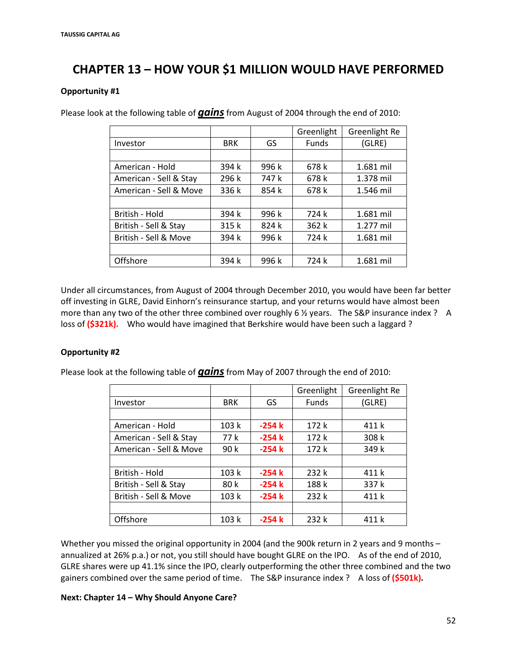## **CHAPTER 13 – HOW YOUR \$1 MILLION WOULD HAVE PERFORMED**

#### **Opportunity #1**

| Please look at the following table of <b>gains</b> from August of 2004 through the end of 2010: |  |
|-------------------------------------------------------------------------------------------------|--|
|-------------------------------------------------------------------------------------------------|--|

|                        |            |       | Greenlight | Greenlight Re |
|------------------------|------------|-------|------------|---------------|
| Investor               | <b>BRK</b> | GS    | Funds      | (GLRE)        |
|                        |            |       |            |               |
| American - Hold        | 394 k      | 996 k | 678 k      | 1.681 mil     |
| American - Sell & Stay | 296 k      | 747 k | 678 k      | 1.378 mil     |
| American - Sell & Move | 336 k      | 854 k | 678 k      | 1.546 mil     |
|                        |            |       |            |               |
| British - Hold         | 394 k      | 996 k | 724 k      | 1.681 mil     |
| British - Sell & Stay  | 315 k      | 824 k | 362 k      | 1.277 mil     |
| British - Sell & Move  | 394 k      | 996 k | 724 k      | 1.681 mil     |
|                        |            |       |            |               |
| Offshore               | 394 k      | 996 k | 724 k      | 1.681 mil     |

Under all circumstances, from August of 2004 through December 2010, you would have been far better off investing in GLRE, David Einhorn's reinsurance startup, and your returns would have almost been more than any two of the other three combined over roughly 6  $\frac{1}{2}$  years. The S&P insurance index ? A loss of (\$321k). Who would have imagined that Berkshire would have been such a laggard?

#### **Opportunity #2**

Please look at the following table of **gains** from May of 2007 through the end of 2010:

|                        |            |         | Greenlight   | Greenlight Re |
|------------------------|------------|---------|--------------|---------------|
| Investor               | <b>BRK</b> | GS      | <b>Funds</b> | (GLRE)        |
|                        |            |         |              |               |
| American - Hold        | 103 k      | $-254k$ | 172 k        | 411 k         |
| American - Sell & Stay | 77 k       | $-254k$ | 172 k        | 308 k         |
| American - Sell & Move | 90 k       | $-254k$ | 172 k        | 349 k         |
|                        |            |         |              |               |
| British - Hold         | 103k       | $-254k$ | 232k         | 411 k         |
| British - Sell & Stay  | 80 k       | $-254k$ | 188 k        | 337 k         |
| British - Sell & Move  | 103k       | $-254k$ | 232 k        | 411 k         |
|                        |            |         |              |               |
| Offshore               | 103k       | $-254k$ | 232 k        | 411 k         |

Whether you missed the original opportunity in 2004 (and the 900k return in 2 years and 9 months – annualized at 26% p.a.) or not, you still should have bought GLRE on the IPO. As of the end of 2010, GLRE shares were up 41.1% since the IPO, clearly outperforming the other three combined and the two gainers combined over the same period of time. The S&P insurance index ? A loss of **(\$501k).** 

#### **Next: Chapter 14 – Why Should Anyone Care?**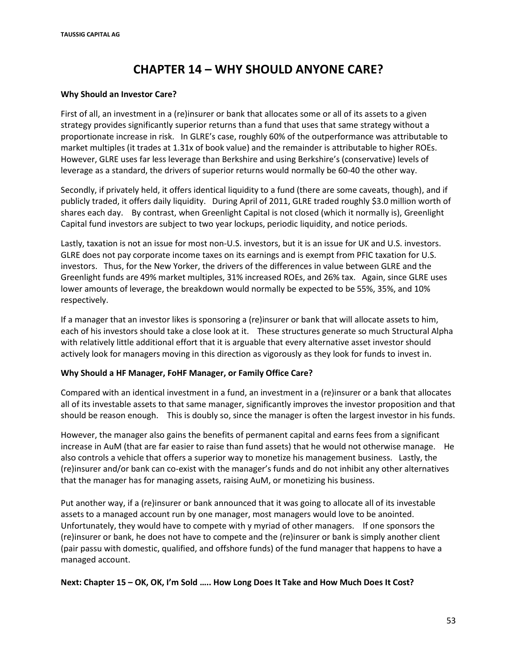## **CHAPTER 14 – WHY SHOULD ANYONE CARE?**

#### **Why Should an Investor Care?**

First of all, an investment in a (re)insurer or bank that allocates some or all of its assets to a given strategy provides significantly superior returns than a fund that uses that same strategy without a proportionate increase in risk. In GLRE's case, roughly 60% of the outperformance was attributable to market multiples (it trades at 1.31x of book value) and the remainder is attributable to higher ROEs. However, GLRE uses far less leverage than Berkshire and using Berkshire's (conservative) levels of leverage as a standard, the drivers of superior returns would normally be 60-40 the other way.

Secondly, if privately held, it offers identical liquidity to a fund (there are some caveats, though), and if publicly traded, it offers daily liquidity. During April of 2011, GLRE traded roughly \$3.0 million worth of shares each day. By contrast, when Greenlight Capital is not closed (which it normally is), Greenlight Capital fund investors are subject to two year lockups, periodic liquidity, and notice periods.

Lastly, taxation is not an issue for most non-U.S. investors, but it is an issue for UK and U.S. investors. GLRE does not pay corporate income taxes on its earnings and is exempt from PFIC taxation for U.S. investors. Thus, for the New Yorker, the drivers of the differences in value between GLRE and the Greenlight funds are 49% market multiples, 31% increased ROEs, and 26% tax. Again, since GLRE uses lower amounts of leverage, the breakdown would normally be expected to be 55%, 35%, and 10% respectively.

If a manager that an investor likes is sponsoring a (re)insurer or bank that will allocate assets to him, each of his investors should take a close look at it. These structures generate so much Structural Alpha with relatively little additional effort that it is arguable that every alternative asset investor should actively look for managers moving in this direction as vigorously as they look for funds to invest in.

#### **Why Should a HF Manager, FoHF Manager, or Family Office Care?**

Compared with an identical investment in a fund, an investment in a (re)insurer or a bank that allocates all of its investable assets to that same manager, significantly improves the investor proposition and that should be reason enough. This is doubly so, since the manager is often the largest investor in his funds.

However, the manager also gains the benefits of permanent capital and earns fees from a significant increase in AuM (that are far easier to raise than fund assets) that he would not otherwise manage. He also controls a vehicle that offers a superior way to monetize his management business. Lastly, the (re)insurer and/or bank can co-exist with the manager's funds and do not inhibit any other alternatives that the manager has for managing assets, raising AuM, or monetizing his business.

Put another way, if a (re)insurer or bank announced that it was going to allocate all of its investable assets to a managed account run by one manager, most managers would love to be anointed. Unfortunately, they would have to compete with y myriad of other managers. If one sponsors the (re)insurer or bank, he does not have to compete and the (re)insurer or bank is simply another client (pair passu with domestic, qualified, and offshore funds) of the fund manager that happens to have a managed account.

**Next: Chapter 15 – OK, OK, I'm Sold ….. How Long Does It Take and How Much Does It Cost?**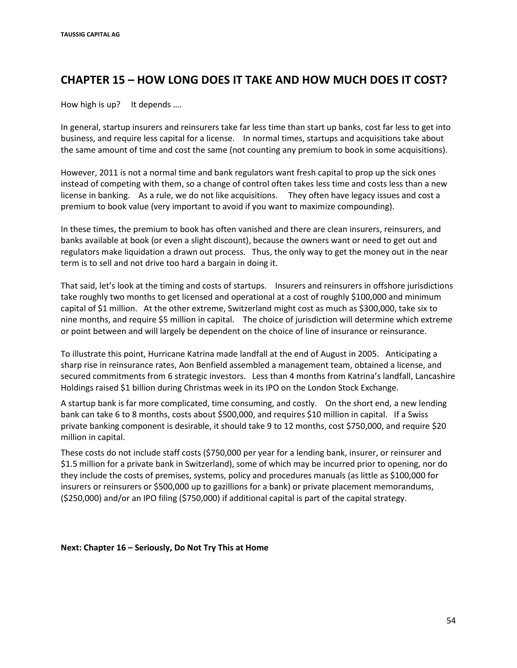## **CHAPTER 15 – HOW LONG DOES IT TAKE AND HOW MUCH DOES IT COST?**

How high is up? It depends ....

In general, startup insurers and reinsurers take far less time than start up banks, cost far less to get into business, and require less capital for a license. In normal times, startups and acquisitions take about the same amount of time and cost the same (not counting any premium to book in some acquisitions).

However, 2011 is not a normal time and bank regulators want fresh capital to prop up the sick ones instead of competing with them, so a change of control often takes less time and costs less than a new license in banking. As a rule, we do not like acquisitions. They often have legacy issues and cost a premium to book value (very important to avoid if you want to maximize compounding).

In these times, the premium to book has often vanished and there are clean insurers, reinsurers, and banks available at book (or even a slight discount), because the owners want or need to get out and regulators make liquidation a drawn out process. Thus, the only way to get the money out in the near term is to sell and not drive too hard a bargain in doing it.

That said, let's look at the timing and costs of startups. Insurers and reinsurers in offshore jurisdictions take roughly two months to get licensed and operational at a cost of roughly \$100,000 and minimum capital of \$1 million. At the other extreme, Switzerland might cost as much as \$300,000, take six to nine months, and require \$5 million in capital. The choice of jurisdiction will determine which extreme or point between and will largely be dependent on the choice of line of insurance or reinsurance.

To illustrate this point, Hurricane Katrina made landfall at the end of August in 2005. Anticipating a sharp rise in reinsurance rates, Aon Benfield assembled a management team, obtained a license, and secured commitments from 6 strategic investors. Less than 4 months from Katrina's landfall, Lancashire Holdings raised \$1 billion during Christmas week in its IPO on the London Stock Exchange.

A startup bank is far more complicated, time consuming, and costly. On the short end, a new lending bank can take 6 to 8 months, costs about \$500,000, and requires \$10 million in capital. If a Swiss private banking component is desirable, it should take 9 to 12 months, cost \$750,000, and require \$20 million in capital.

These costs do not include staff costs (\$750,000 per year for a lending bank, insurer, or reinsurer and \$1.5 million for a private bank in Switzerland), some of which may be incurred prior to opening, nor do they include the costs of premises, systems, policy and procedures manuals (as little as \$100,000 for insurers or reinsurers or \$500,000 up to gazillions for a bank) or private placement memorandums, (\$250,000) and/or an IPO filing (\$750,000) if additional capital is part of the capital strategy.

**Next: Chapter 16 – Seriously, Do Not Try This at Home**